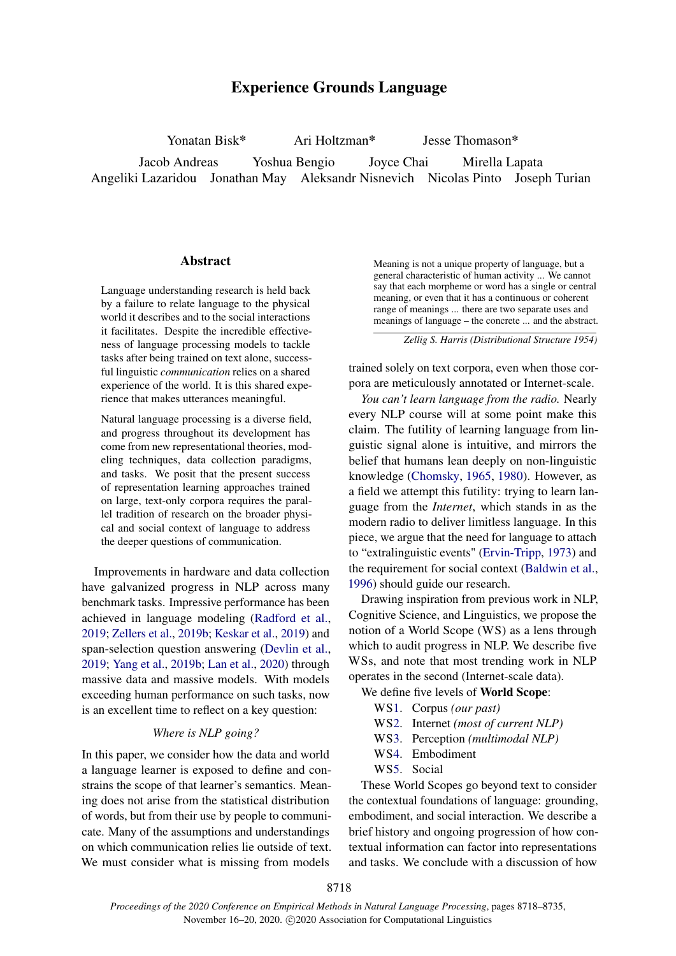# Experience Grounds Language

Yonatan Bisk\* Ari Holtzman\* Jesse Thomason\* Jacob Andreas Yoshua Bengio Joyce Chai Mirella Lapata Angeliki Lazaridou Jonathan May Aleksandr Nisnevich Nicolas Pinto Joseph Turian

## Abstract

Language understanding research is held back by a failure to relate language to the physical world it describes and to the social interactions it facilitates. Despite the incredible effectiveness of language processing models to tackle tasks after being trained on text alone, successful linguistic *communication* relies on a shared experience of the world. It is this shared experience that makes utterances meaningful.

Natural language processing is a diverse field, and progress throughout its development has come from new representational theories, modeling techniques, data collection paradigms, and tasks. We posit that the present success of representation learning approaches trained on large, text-only corpora requires the parallel tradition of research on the broader physical and social context of language to address the deeper questions of communication.

Improvements in hardware and data collection have galvanized progress in NLP across many benchmark tasks. Impressive performance has been achieved in language modeling [\(Radford et al.,](#page-14-0) [2019;](#page-14-0) [Zellers et al.,](#page-17-0) [2019b;](#page-17-0) [Keskar et al.,](#page-12-0) [2019\)](#page-12-0) and span-selection question answering [\(Devlin et al.,](#page-10-0) [2019;](#page-10-0) [Yang et al.,](#page-17-1) [2019b;](#page-17-1) [Lan et al.,](#page-12-1) [2020\)](#page-12-1) through massive data and massive models. With models exceeding human performance on such tasks, now is an excellent time to reflect on a key question:

# *Where is NLP going?*

In this paper, we consider how the data and world a language learner is exposed to define and constrains the scope of that learner's semantics. Meaning does not arise from the statistical distribution of words, but from their use by people to communicate. Many of the assumptions and understandings on which communication relies lie outside of text. We must consider what is missing from models

Meaning is not a unique property of language, but a general characteristic of human activity ... We cannot say that each morpheme or word has a single or central meaning, or even that it has a continuous or coherent range of meanings ... there are two separate uses and meanings of language – the concrete ... and the abstract.

*Zellig S. Harris (Distributional Structure 1954)*

trained solely on text corpora, even when those corpora are meticulously annotated or Internet-scale.

*You can't learn language from the radio.* Nearly every NLP course will at some point make this claim. The futility of learning language from linguistic signal alone is intuitive, and mirrors the belief that humans lean deeply on non-linguistic knowledge [\(Chomsky,](#page-10-1) [1965,](#page-10-1) [1980\)](#page-10-2). However, as a field we attempt this futility: trying to learn language from the *Internet*, which stands in as the modern radio to deliver limitless language. In this piece, we argue that the need for language to attach to "extralinguistic events" [\(Ervin-Tripp,](#page-11-0) [1973\)](#page-11-0) and the requirement for social context [\(Baldwin et al.,](#page-9-0) [1996\)](#page-9-0) should guide our research.

Drawing inspiration from previous work in NLP, Cognitive Science, and Linguistics, we propose the notion of a World Scope (WS) as a lens through which to audit progress in NLP. We describe five WSs, and note that most trending work in NLP operates in the second (Internet-scale data).

We define five levels of World Scope:

- W[S1.](#page-1-0) Corpus *(our past)*
- W[S2.](#page-2-0) Internet *(most of current NLP)*
- W[S3.](#page-3-0) Perception *(multimodal NLP)*
- W[S4.](#page-4-0) Embodiment
- W[S5.](#page-5-0) Social

These World Scopes go beyond text to consider the contextual foundations of language: grounding, embodiment, and social interaction. We describe a brief history and ongoing progression of how contextual information can factor into representations and tasks. We conclude with a discussion of how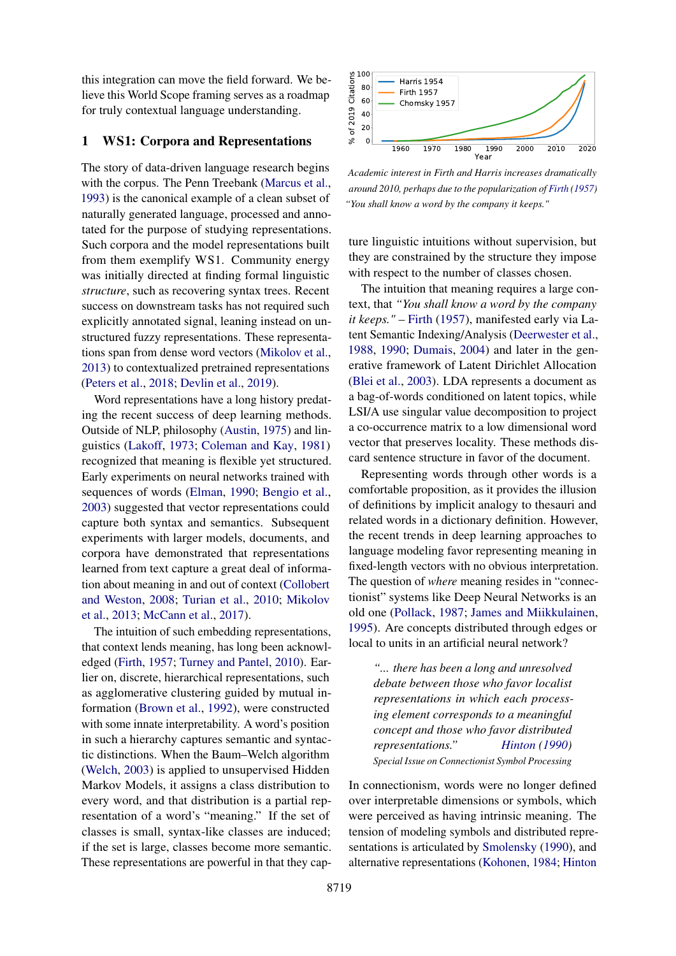this integration can move the field forward. We believe this World Scope framing serves as a roadmap for truly contextual language understanding.

## <span id="page-1-0"></span>1 WS1: Corpora and Representations

The story of data-driven language research begins with the corpus. The Penn Treebank [\(Marcus et al.,](#page-13-0) [1993\)](#page-13-0) is the canonical example of a clean subset of naturally generated language, processed and annotated for the purpose of studying representations. Such corpora and the model representations built from them exemplify WS1. Community energy was initially directed at finding formal linguistic *structure*, such as recovering syntax trees. Recent success on downstream tasks has not required such explicitly annotated signal, leaning instead on unstructured fuzzy representations. These representations span from dense word vectors [\(Mikolov et al.,](#page-13-1) [2013\)](#page-13-1) to contextualized pretrained representations [\(Peters et al.,](#page-14-1) [2018;](#page-14-1) [Devlin et al.,](#page-10-0) [2019\)](#page-10-0).

Word representations have a long history predating the recent success of deep learning methods. Outside of NLP, philosophy [\(Austin,](#page-9-1) [1975\)](#page-9-1) and linguistics [\(Lakoff,](#page-12-2) [1973;](#page-12-2) [Coleman and Kay,](#page-10-3) [1981\)](#page-10-3) recognized that meaning is flexible yet structured. Early experiments on neural networks trained with sequences of words [\(Elman,](#page-11-1) [1990;](#page-11-1) [Bengio et al.,](#page-9-2) [2003\)](#page-9-2) suggested that vector representations could capture both syntax and semantics. Subsequent experiments with larger models, documents, and corpora have demonstrated that representations learned from text capture a great deal of information about meaning in and out of context [\(Collobert](#page-10-4) [and Weston,](#page-10-4) [2008;](#page-10-4) [Turian et al.,](#page-16-0) [2010;](#page-16-0) [Mikolov](#page-13-1) [et al.,](#page-13-1) [2013;](#page-13-1) [McCann et al.,](#page-13-2) [2017\)](#page-13-2).

The intuition of such embedding representations, that context lends meaning, has long been acknowledged [\(Firth,](#page-11-2) [1957;](#page-11-2) [Turney and Pantel,](#page-16-1) [2010\)](#page-16-1). Earlier on, discrete, hierarchical representations, such as agglomerative clustering guided by mutual information [\(Brown et al.,](#page-9-3) [1992\)](#page-9-3), were constructed with some innate interpretability. A word's position in such a hierarchy captures semantic and syntactic distinctions. When the Baum–Welch algorithm [\(Welch,](#page-17-2) [2003\)](#page-17-2) is applied to unsupervised Hidden Markov Models, it assigns a class distribution to every word, and that distribution is a partial representation of a word's "meaning." If the set of classes is small, syntax-like classes are induced; if the set is large, classes become more semantic. These representations are powerful in that they cap-



*Academic interest in Firth and Harris increases dramatically around 2010, perhaps due to the popularization of [Firth](#page-11-2) [\(1957\)](#page-11-2) "You shall know a word by the company it keeps."*

ture linguistic intuitions without supervision, but they are constrained by the structure they impose with respect to the number of classes chosen.

The intuition that meaning requires a large context, that *"You shall know a word by the company it keeps."* – [Firth](#page-11-2) [\(1957\)](#page-11-2), manifested early via Latent Semantic Indexing/Analysis [\(Deerwester et al.,](#page-10-5) [1988,](#page-10-5) [1990;](#page-10-6) [Dumais,](#page-11-3) [2004\)](#page-11-3) and later in the generative framework of Latent Dirichlet Allocation [\(Blei et al.,](#page-9-4) [2003\)](#page-9-4). LDA represents a document as a bag-of-words conditioned on latent topics, while LSI/A use singular value decomposition to project a co-occurrence matrix to a low dimensional word vector that preserves locality. These methods discard sentence structure in favor of the document.

Representing words through other words is a comfortable proposition, as it provides the illusion of definitions by implicit analogy to thesauri and related words in a dictionary definition. However, the recent trends in deep learning approaches to language modeling favor representing meaning in fixed-length vectors with no obvious interpretation. The question of *where* meaning resides in "connectionist" systems like Deep Neural Networks is an old one [\(Pollack,](#page-14-2) [1987;](#page-14-2) [James and Miikkulainen,](#page-12-3) [1995\)](#page-12-3). Are concepts distributed through edges or local to units in an artificial neural network?

*"... there has been a long and unresolved debate between those who favor localist representations in which each processing element corresponds to a meaningful concept and those who favor distributed representations." [Hinton](#page-12-4) [\(1990\)](#page-12-4) Special Issue on Connectionist Symbol Processing*

In connectionism, words were no longer defined over interpretable dimensions or symbols, which were perceived as having intrinsic meaning. The tension of modeling symbols and distributed representations is articulated by [Smolensky](#page-15-0) [\(1990\)](#page-15-0), and alternative representations [\(Kohonen,](#page-12-5) [1984;](#page-12-5) [Hinton](#page-12-6)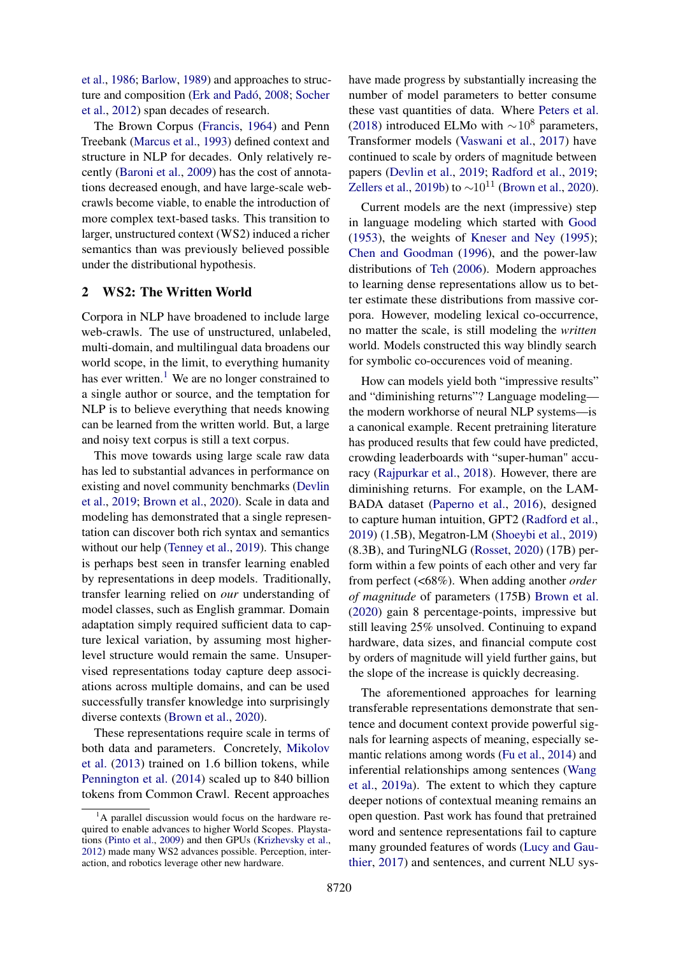[et al.,](#page-12-6) [1986;](#page-12-6) [Barlow,](#page-9-5) [1989\)](#page-9-5) and approaches to structure and composition [\(Erk and Padó,](#page-11-4) [2008;](#page-11-4) [Socher](#page-15-1) [et al.,](#page-15-1) [2012\)](#page-15-1) span decades of research.

The Brown Corpus [\(Francis,](#page-11-5) [1964\)](#page-11-5) and Penn Treebank [\(Marcus et al.,](#page-13-0) [1993\)](#page-13-0) defined context and structure in NLP for decades. Only relatively recently [\(Baroni et al.,](#page-9-6) [2009\)](#page-9-6) has the cost of annotations decreased enough, and have large-scale webcrawls become viable, to enable the introduction of more complex text-based tasks. This transition to larger, unstructured context (WS2) induced a richer semantics than was previously believed possible under the distributional hypothesis.

# <span id="page-2-0"></span>2 WS2: The Written World

Corpora in NLP have broadened to include large web-crawls. The use of unstructured, unlabeled, multi-domain, and multilingual data broadens our world scope, in the limit, to everything humanity has ever written.<sup>[1](#page-2-1)</sup> We are no longer constrained to a single author or source, and the temptation for NLP is to believe everything that needs knowing can be learned from the written world. But, a large and noisy text corpus is still a text corpus.

This move towards using large scale raw data has led to substantial advances in performance on existing and novel community benchmarks [\(Devlin](#page-10-0) [et al.,](#page-10-0) [2019;](#page-10-0) [Brown et al.,](#page-9-7) [2020\)](#page-9-7). Scale in data and modeling has demonstrated that a single representation can discover both rich syntax and semantics without our help [\(Tenney et al.,](#page-16-2) [2019\)](#page-16-2). This change is perhaps best seen in transfer learning enabled by representations in deep models. Traditionally, transfer learning relied on *our* understanding of model classes, such as English grammar. Domain adaptation simply required sufficient data to capture lexical variation, by assuming most higherlevel structure would remain the same. Unsupervised representations today capture deep associations across multiple domains, and can be used successfully transfer knowledge into surprisingly diverse contexts [\(Brown et al.,](#page-9-7) [2020\)](#page-9-7).

These representations require scale in terms of both data and parameters. Concretely, [Mikolov](#page-13-1) [et al.](#page-13-1) [\(2013\)](#page-13-1) trained on 1.6 billion tokens, while [Pennington et al.](#page-14-3) [\(2014\)](#page-14-3) scaled up to 840 billion tokens from Common Crawl. Recent approaches have made progress by substantially increasing the number of model parameters to better consume these vast quantities of data. Where [Peters et al.](#page-14-1) [\(2018\)](#page-14-1) introduced ELMo with  $\sim$ 10<sup>8</sup> parameters, Transformer models [\(Vaswani et al.,](#page-16-3) [2017\)](#page-16-3) have continued to scale by orders of magnitude between papers [\(Devlin et al.,](#page-10-0) [2019;](#page-10-0) [Radford et al.,](#page-14-0) [2019;](#page-14-0) [Zellers et al.,](#page-17-0) [2019b\)](#page-17-0) to  $\sim 10^{11}$  [\(Brown et al.,](#page-9-7) [2020\)](#page-9-7).

Current models are the next (impressive) step in language modeling which started with [Good](#page-11-6) [\(1953\)](#page-11-6), the weights of [Kneser and Ney](#page-12-8) [\(1995\)](#page-12-8); [Chen and Goodman](#page-10-7) [\(1996\)](#page-10-7), and the power-law distributions of [Teh](#page-16-4) [\(2006\)](#page-16-4). Modern approaches to learning dense representations allow us to better estimate these distributions from massive corpora. However, modeling lexical co-occurrence, no matter the scale, is still modeling the *written* world. Models constructed this way blindly search for symbolic co-occurences void of meaning.

How can models yield both "impressive results" and "diminishing returns"? Language modeling the modern workhorse of neural NLP systems—is a canonical example. Recent pretraining literature has produced results that few could have predicted, crowding leaderboards with "super-human" accuracy [\(Rajpurkar et al.,](#page-14-5) [2018\)](#page-14-5). However, there are diminishing returns. For example, on the LAM-BADA dataset [\(Paperno et al.,](#page-14-6) [2016\)](#page-14-6), designed to capture human intuition, GPT2 [\(Radford et al.,](#page-14-0) [2019\)](#page-14-0) (1.5B), Megatron-LM [\(Shoeybi et al.,](#page-15-2) [2019\)](#page-15-2) (8.3B), and TuringNLG [\(Rosset,](#page-14-7) [2020\)](#page-14-7) (17B) perform within a few points of each other and very far from perfect (<68%). When adding another *order of magnitude* of parameters (175B) [Brown et al.](#page-9-7) [\(2020\)](#page-9-7) gain 8 percentage-points, impressive but still leaving 25% unsolved. Continuing to expand hardware, data sizes, and financial compute cost by orders of magnitude will yield further gains, but the slope of the increase is quickly decreasing.

The aforementioned approaches for learning transferable representations demonstrate that sentence and document context provide powerful signals for learning aspects of meaning, especially semantic relations among words [\(Fu et al.,](#page-11-7) [2014\)](#page-11-7) and inferential relationships among sentences [\(Wang](#page-17-3) [et al.,](#page-17-3) [2019a\)](#page-17-3). The extent to which they capture deeper notions of contextual meaning remains an open question. Past work has found that pretrained word and sentence representations fail to capture many grounded features of words [\(Lucy and Gau](#page-13-3)[thier,](#page-13-3) [2017\)](#page-13-3) and sentences, and current NLU sys-

<span id="page-2-1"></span> ${}^{1}$ A parallel discussion would focus on the hardware required to enable advances to higher World Scopes. Playstations [\(Pinto et al.,](#page-14-4) [2009\)](#page-14-4) and then GPUs [\(Krizhevsky et al.,](#page-12-7) [2012\)](#page-12-7) made many WS2 advances possible. Perception, interaction, and robotics leverage other new hardware.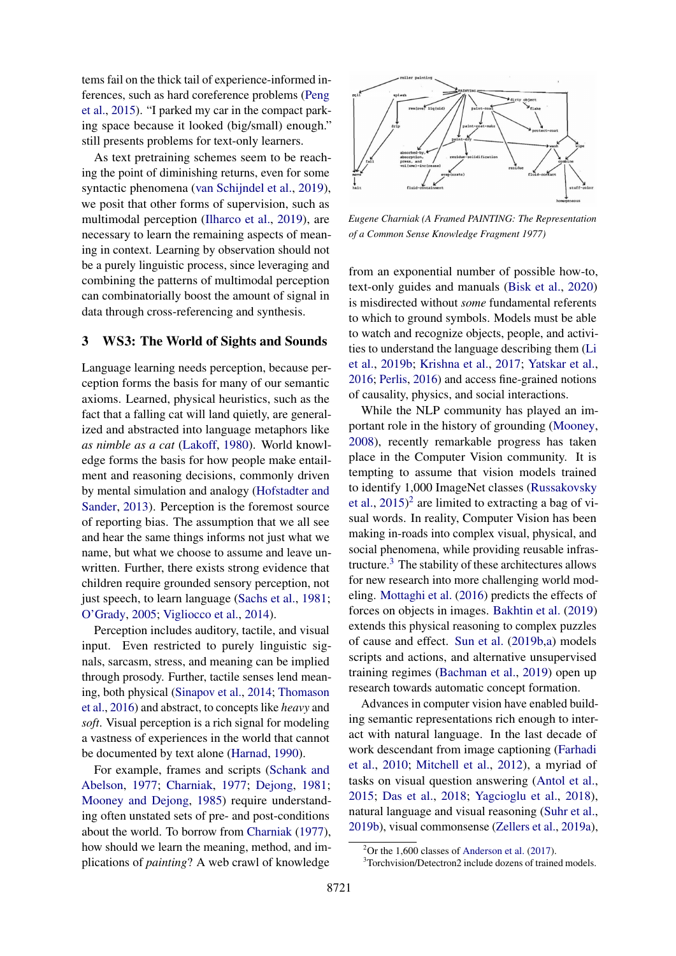tems fail on the thick tail of experience-informed inferences, such as hard coreference problems [\(Peng](#page-14-8) [et al.,](#page-14-8) [2015\)](#page-14-8). "I parked my car in the compact parking space because it looked (big/small) enough." still presents problems for text-only learners.

As text pretraining schemes seem to be reaching the point of diminishing returns, even for some syntactic phenomena [\(van Schijndel et al.,](#page-15-3) [2019\)](#page-15-3), we posit that other forms of supervision, such as multimodal perception [\(Ilharco et al.,](#page-12-9) [2019\)](#page-12-9), are necessary to learn the remaining aspects of meaning in context. Learning by observation should not be a purely linguistic process, since leveraging and combining the patterns of multimodal perception can combinatorially boost the amount of signal in data through cross-referencing and synthesis.

# <span id="page-3-0"></span>3 WS3: The World of Sights and Sounds

Language learning needs perception, because perception forms the basis for many of our semantic axioms. Learned, physical heuristics, such as the fact that a falling cat will land quietly, are generalized and abstracted into language metaphors like *as nimble as a cat* [\(Lakoff,](#page-12-10) [1980\)](#page-12-10). World knowledge forms the basis for how people make entailment and reasoning decisions, commonly driven by mental simulation and analogy [\(Hofstadter and](#page-12-11) [Sander,](#page-12-11) [2013\)](#page-12-11). Perception is the foremost source of reporting bias. The assumption that we all see and hear the same things informs not just what we name, but what we choose to assume and leave unwritten. Further, there exists strong evidence that children require grounded sensory perception, not just speech, to learn language [\(Sachs et al.,](#page-15-4) [1981;](#page-15-4) [O'Grady,](#page-14-9) [2005;](#page-14-9) [Vigliocco et al.,](#page-16-5) [2014\)](#page-16-5).

Perception includes auditory, tactile, and visual input. Even restricted to purely linguistic signals, sarcasm, stress, and meaning can be implied through prosody. Further, tactile senses lend meaning, both physical [\(Sinapov et al.,](#page-15-5) [2014;](#page-15-5) [Thomason](#page-16-6) [et al.,](#page-16-6) [2016\)](#page-16-6) and abstract, to concepts like *heavy* and *soft*. Visual perception is a rich signal for modeling a vastness of experiences in the world that cannot be documented by text alone [\(Harnad,](#page-11-8) [1990\)](#page-11-8).

For example, frames and scripts [\(Schank and](#page-15-6) [Abelson,](#page-15-6) [1977;](#page-15-6) [Charniak,](#page-10-8) [1977;](#page-10-8) [Dejong,](#page-10-9) [1981;](#page-10-9) [Mooney and Dejong,](#page-13-4) [1985\)](#page-13-4) require understanding often unstated sets of pre- and post-conditions about the world. To borrow from [Charniak](#page-10-8) [\(1977\)](#page-10-8), how should we learn the meaning, method, and implications of *painting*? A web crawl of knowledge



*Eugene Charniak (A Framed PAINTING: The Representation of a Common Sense Knowledge Fragment 1977)*

from an exponential number of possible how-to, text-only guides and manuals [\(Bisk et al.,](#page-9-8) [2020\)](#page-9-8) is misdirected without *some* fundamental referents to which to ground symbols. Models must be able to watch and recognize objects, people, and activities to understand the language describing them [\(Li](#page-13-5) [et al.,](#page-13-5) [2019b;](#page-13-5) [Krishna et al.,](#page-12-12) [2017;](#page-12-12) [Yatskar et al.,](#page-17-4) [2016;](#page-17-4) [Perlis,](#page-14-10) [2016\)](#page-14-10) and access fine-grained notions of causality, physics, and social interactions.

While the NLP community has played an important role in the history of grounding [\(Mooney,](#page-13-6) [2008\)](#page-13-6), recently remarkable progress has taken place in the Computer Vision community. It is tempting to assume that vision models trained to identify 1,000 ImageNet classes [\(Russakovsky](#page-14-11) [et al.,](#page-14-11) [2015\)](#page-14-11) [2](#page-3-1) are limited to extracting a bag of visual words. In reality, Computer Vision has been making in-roads into complex visual, physical, and social phenomena, while providing reusable infrastructure.[3](#page-3-2) The stability of these architectures allows for new research into more challenging world modeling. [Mottaghi et al.](#page-13-7) [\(2016\)](#page-13-7) predicts the effects of forces on objects in images. [Bakhtin et al.](#page-9-9) [\(2019\)](#page-9-9) extends this physical reasoning to complex puzzles of cause and effect. [Sun et al.](#page-16-7) [\(2019b,](#page-16-7)[a\)](#page-16-8) models scripts and actions, and alternative unsupervised training regimes [\(Bachman et al.,](#page-9-10) [2019\)](#page-9-10) open up research towards automatic concept formation.

Advances in computer vision have enabled building semantic representations rich enough to interact with natural language. In the last decade of work descendant from image captioning [\(Farhadi](#page-11-9) [et al.,](#page-11-9) [2010;](#page-11-9) [Mitchell et al.,](#page-13-8) [2012\)](#page-13-8), a myriad of tasks on visual question answering [\(Antol et al.,](#page-9-11) [2015;](#page-9-11) [Das et al.,](#page-10-10) [2018;](#page-10-10) [Yagcioglu et al.,](#page-17-5) [2018\)](#page-17-5), natural language and visual reasoning [\(Suhr et al.,](#page-16-9) [2019b\)](#page-16-9), visual commonsense [\(Zellers et al.,](#page-17-6) [2019a\)](#page-17-6),

<span id="page-3-1"></span> $2$ Or the 1,600 classes of [Anderson et al.](#page-9-12) [\(2017\)](#page-9-12).

<span id="page-3-2"></span><sup>3</sup>Torchvision/Detectron2 include dozens of trained models.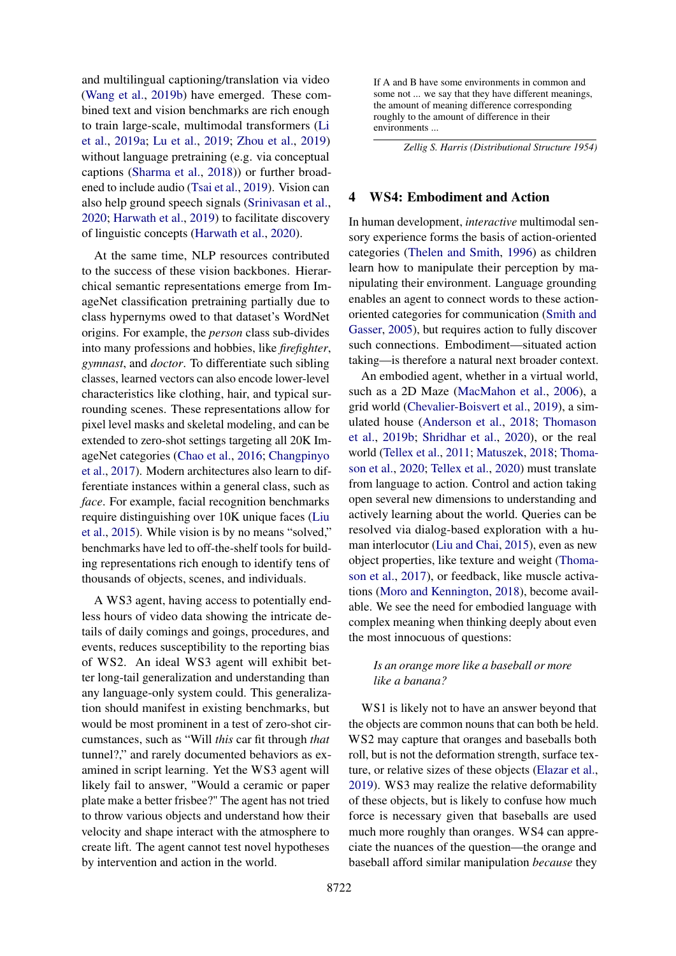and multilingual captioning/translation via video [\(Wang et al.,](#page-17-7) [2019b\)](#page-17-7) have emerged. These combined text and vision benchmarks are rich enough to train large-scale, multimodal transformers [\(Li](#page-13-9) [et al.,](#page-13-9) [2019a;](#page-13-9) [Lu et al.,](#page-13-10) [2019;](#page-13-10) [Zhou et al.,](#page-17-8) [2019\)](#page-17-8) without language pretraining (e.g. via conceptual captions [\(Sharma et al.,](#page-15-7) [2018\)](#page-15-7)) or further broadened to include audio [\(Tsai et al.,](#page-16-10) [2019\)](#page-16-10). Vision can also help ground speech signals [\(Srinivasan et al.,](#page-15-8) [2020;](#page-15-8) [Harwath et al.,](#page-11-10) [2019\)](#page-11-10) to facilitate discovery of linguistic concepts [\(Harwath et al.,](#page-11-11) [2020\)](#page-11-11).

At the same time, NLP resources contributed to the success of these vision backbones. Hierarchical semantic representations emerge from ImageNet classification pretraining partially due to class hypernyms owed to that dataset's WordNet origins. For example, the *person* class sub-divides into many professions and hobbies, like *firefighter*, *gymnast*, and *doctor*. To differentiate such sibling classes, learned vectors can also encode lower-level characteristics like clothing, hair, and typical surrounding scenes. These representations allow for pixel level masks and skeletal modeling, and can be extended to zero-shot settings targeting all 20K ImageNet categories [\(Chao et al.,](#page-10-11) [2016;](#page-10-11) [Changpinyo](#page-10-12) [et al.,](#page-10-12) [2017\)](#page-10-12). Modern architectures also learn to differentiate instances within a general class, such as *face*. For example, facial recognition benchmarks require distinguishing over 10K unique faces [\(Liu](#page-13-11) [et al.,](#page-13-11) [2015\)](#page-13-11). While vision is by no means "solved," benchmarks have led to off-the-shelf tools for building representations rich enough to identify tens of thousands of objects, scenes, and individuals.

A WS3 agent, having access to potentially endless hours of video data showing the intricate details of daily comings and goings, procedures, and events, reduces susceptibility to the reporting bias of WS2. An ideal WS3 agent will exhibit better long-tail generalization and understanding than any language-only system could. This generalization should manifest in existing benchmarks, but would be most prominent in a test of zero-shot circumstances, such as "Will *this* car fit through *that* tunnel?," and rarely documented behaviors as examined in script learning. Yet the WS3 agent will likely fail to answer, "Would a ceramic or paper plate make a better frisbee?" The agent has not tried to throw various objects and understand how their velocity and shape interact with the atmosphere to create lift. The agent cannot test novel hypotheses by intervention and action in the world.

If A and B have some environments in common and some not ... we say that they have different meanings, the amount of meaning difference corresponding roughly to the amount of difference in their environments ...

*Zellig S. Harris (Distributional Structure 1954)*

#### <span id="page-4-0"></span>4 WS4: Embodiment and Action

In human development, *interactive* multimodal sensory experience forms the basis of action-oriented categories [\(Thelen and Smith,](#page-16-11) [1996\)](#page-16-11) as children learn how to manipulate their perception by manipulating their environment. Language grounding enables an agent to connect words to these actionoriented categories for communication [\(Smith and](#page-15-9) [Gasser,](#page-15-9) [2005\)](#page-15-9), but requires action to fully discover such connections. Embodiment—situated action taking—is therefore a natural next broader context.

An embodied agent, whether in a virtual world, such as a 2D Maze [\(MacMahon et al.,](#page-13-12) [2006\)](#page-13-12), a grid world [\(Chevalier-Boisvert et al.,](#page-10-13) [2019\)](#page-10-13), a simulated house [\(Anderson et al.,](#page-9-13) [2018;](#page-9-13) [Thomason](#page-16-12) [et al.,](#page-16-12) [2019b;](#page-16-12) [Shridhar et al.,](#page-15-10) [2020\)](#page-15-10), or the real world [\(Tellex et al.,](#page-16-13) [2011;](#page-16-13) [Matuszek,](#page-13-13) [2018;](#page-13-13) [Thoma](#page-16-14)[son et al.,](#page-16-14) [2020;](#page-16-14) [Tellex et al.,](#page-16-15) [2020\)](#page-16-15) must translate from language to action. Control and action taking open several new dimensions to understanding and actively learning about the world. Queries can be resolved via dialog-based exploration with a human interlocutor [\(Liu and Chai,](#page-13-14) [2015\)](#page-13-14), even as new object properties, like texture and weight [\(Thoma](#page-16-16)[son et al.,](#page-16-16) [2017\)](#page-16-16), or feedback, like muscle activations [\(Moro and Kennington,](#page-13-15) [2018\)](#page-13-15), become available. We see the need for embodied language with complex meaning when thinking deeply about even the most innocuous of questions:

# *Is an orange more like a baseball or more like a banana?*

WS1 is likely not to have an answer beyond that the objects are common nouns that can both be held. WS2 may capture that oranges and baseballs both roll, but is not the deformation strength, surface texture, or relative sizes of these objects [\(Elazar et al.,](#page-11-12) [2019\)](#page-11-12). WS3 may realize the relative deformability of these objects, but is likely to confuse how much force is necessary given that baseballs are used much more roughly than oranges. WS4 can appreciate the nuances of the question—the orange and baseball afford similar manipulation *because* they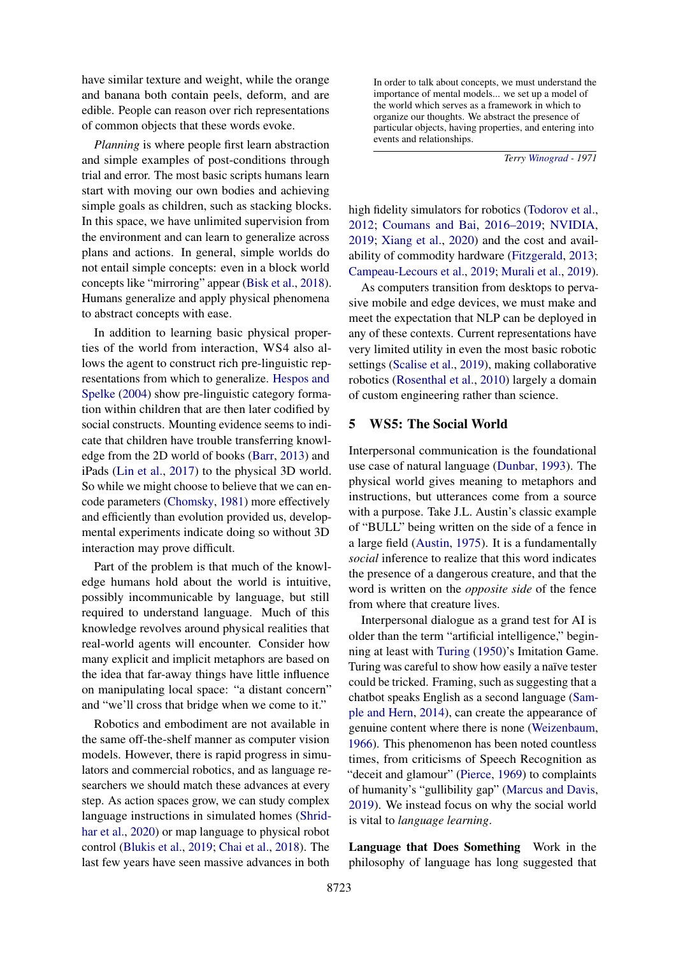have similar texture and weight, while the orange and banana both contain peels, deform, and are edible. People can reason over rich representations of common objects that these words evoke.

*Planning* is where people first learn abstraction and simple examples of post-conditions through trial and error. The most basic scripts humans learn start with moving our own bodies and achieving simple goals as children, such as stacking blocks. In this space, we have unlimited supervision from the environment and can learn to generalize across plans and actions. In general, simple worlds do not entail simple concepts: even in a block world concepts like "mirroring" appear [\(Bisk et al.,](#page-9-14) [2018\)](#page-9-14). Humans generalize and apply physical phenomena to abstract concepts with ease.

In addition to learning basic physical properties of the world from interaction, WS4 also allows the agent to construct rich pre-linguistic representations from which to generalize. [Hespos and](#page-12-13) [Spelke](#page-12-13) [\(2004\)](#page-12-13) show pre-linguistic category formation within children that are then later codified by social constructs. Mounting evidence seems to indicate that children have trouble transferring knowledge from the 2D world of books [\(Barr,](#page-9-15) [2013\)](#page-9-15) and iPads [\(Lin et al.,](#page-13-16) [2017\)](#page-13-16) to the physical 3D world. So while we might choose to believe that we can encode parameters [\(Chomsky,](#page-10-14) [1981\)](#page-10-14) more effectively and efficiently than evolution provided us, developmental experiments indicate doing so without 3D interaction may prove difficult.

Part of the problem is that much of the knowledge humans hold about the world is intuitive, possibly incommunicable by language, but still required to understand language. Much of this knowledge revolves around physical realities that real-world agents will encounter. Consider how many explicit and implicit metaphors are based on the idea that far-away things have little influence on manipulating local space: "a distant concern" and "we'll cross that bridge when we come to it."

Robotics and embodiment are not available in the same off-the-shelf manner as computer vision models. However, there is rapid progress in simulators and commercial robotics, and as language researchers we should match these advances at every step. As action spaces grow, we can study complex language instructions in simulated homes [\(Shrid](#page-15-10)[har et al.,](#page-15-10) [2020\)](#page-15-10) or map language to physical robot control [\(Blukis et al.,](#page-9-16) [2019;](#page-9-16) [Chai et al.,](#page-10-15) [2018\)](#page-10-15). The last few years have seen massive advances in both

In order to talk about concepts, we must understand the importance of mental models... we set up a model of the world which serves as a framework in which to organize our thoughts. We abstract the presence of particular objects, having properties, and entering into events and relationships.

*Terry [Winograd](#page-17-9) - 1971*

high fidelity simulators for robotics [\(Todorov et al.,](#page-16-17) [2012;](#page-16-17) [Coumans and Bai,](#page-10-16) [2016–2019;](#page-10-16) [NVIDIA,](#page-14-12) [2019;](#page-14-12) [Xiang et al.,](#page-17-10) [2020\)](#page-17-10) and the cost and availability of commodity hardware [\(Fitzgerald,](#page-11-13) [2013;](#page-11-13) [Campeau-Lecours et al.,](#page-10-17) [2019;](#page-10-17) [Murali et al.,](#page-14-13) [2019\)](#page-14-13).

As computers transition from desktops to pervasive mobile and edge devices, we must make and meet the expectation that NLP can be deployed in any of these contexts. Current representations have very limited utility in even the most basic robotic settings [\(Scalise et al.,](#page-15-11) [2019\)](#page-15-11), making collaborative robotics [\(Rosenthal et al.,](#page-14-14) [2010\)](#page-14-14) largely a domain of custom engineering rather than science.

#### <span id="page-5-0"></span>5 WS5: The Social World

Interpersonal communication is the foundational use case of natural language [\(Dunbar,](#page-11-14) [1993\)](#page-11-14). The physical world gives meaning to metaphors and instructions, but utterances come from a source with a purpose. Take J.L. Austin's classic example of "BULL" being written on the side of a fence in a large field [\(Austin,](#page-9-1) [1975\)](#page-9-1). It is a fundamentally *social* inference to realize that this word indicates the presence of a dangerous creature, and that the word is written on the *opposite side* of the fence from where that creature lives.

Interpersonal dialogue as a grand test for AI is older than the term "artificial intelligence," beginning at least with [Turing](#page-16-18) [\(1950\)](#page-16-18)'s Imitation Game. Turing was careful to show how easily a naïve tester could be tricked. Framing, such as suggesting that a chatbot speaks English as a second language [\(Sam](#page-15-12)[ple and Hern,](#page-15-12) [2014\)](#page-15-12), can create the appearance of genuine content where there is none [\(Weizenbaum,](#page-17-11) [1966\)](#page-17-11). This phenomenon has been noted countless times, from criticisms of Speech Recognition as "deceit and glamour" [\(Pierce,](#page-14-15) [1969\)](#page-14-15) to complaints of humanity's "gullibility gap" [\(Marcus and Davis,](#page-13-17) [2019\)](#page-13-17). We instead focus on why the social world is vital to *language learning*.

Language that Does Something Work in the philosophy of language has long suggested that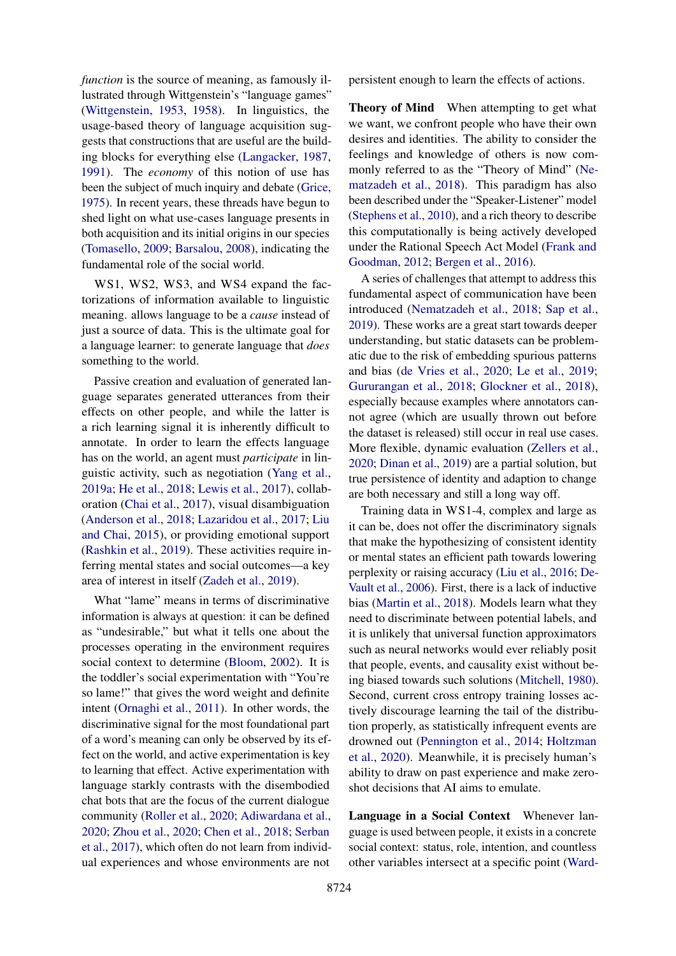*function* is the source of meaning, as famously illustrated through Wittgenstein's "language games" [\(Wittgenstein,](#page-17-12) [1953,](#page-17-12) [1958\)](#page-17-13). In linguistics, the usage-based theory of language acquisition suggests that constructions that are useful are the building blocks for everything else [\(Langacker,](#page-12-14) [1987,](#page-12-14) [1991\)](#page-12-15). The *economy* of this notion of use has been the subject of much inquiry and debate [\(Grice,](#page-11-15) [1975\)](#page-11-15). In recent years, these threads have begun to shed light on what use-cases language presents in both acquisition and its initial origins in our species [\(Tomasello,](#page-16-19) [2009;](#page-16-19) [Barsalou,](#page-9-17) [2008\)](#page-9-17), indicating the fundamental role of the social world.

WS1, WS2, WS3, and WS4 expand the factorizations of information available to linguistic meaning. allows language to be a *cause* instead of just a source of data. This is the ultimate goal for a language learner: to generate language that *does* something to the world.

Passive creation and evaluation of generated language separates generated utterances from their effects on other people, and while the latter is a rich learning signal it is inherently difficult to annotate. In order to learn the effects language has on the world, an agent must *participate* in linguistic activity, such as negotiation [\(Yang et al.,](#page-17-14) [2019a;](#page-17-14) [He et al.,](#page-11-16) [2018;](#page-11-16) [Lewis et al.,](#page-12-16) [2017\)](#page-12-16), collaboration [\(Chai et al.,](#page-10-18) [2017\)](#page-10-18), visual disambiguation [\(Anderson et al.,](#page-9-13) [2018;](#page-9-13) [Lazaridou et al.,](#page-12-17) [2017;](#page-12-17) [Liu](#page-13-14) [and Chai,](#page-13-14) [2015\)](#page-13-14), or providing emotional support [\(Rashkin et al.,](#page-14-16) [2019\)](#page-14-16). These activities require inferring mental states and social outcomes—a key area of interest in itself [\(Zadeh et al.,](#page-17-15) [2019\)](#page-17-15).

What "lame" means in terms of discriminative information is always at question: it can be defined as "undesirable," but what it tells one about the processes operating in the environment requires social context to determine [\(Bloom,](#page-9-18) [2002\)](#page-9-18). It is the toddler's social experimentation with "You're so lame!" that gives the word weight and definite intent [\(Ornaghi et al.,](#page-14-17) [2011\)](#page-14-17). In other words, the discriminative signal for the most foundational part of a word's meaning can only be observed by its effect on the world, and active experimentation is key to learning that effect. Active experimentation with language starkly contrasts with the disembodied chat bots that are the focus of the current dialogue community [\(Roller et al.,](#page-14-18) [2020;](#page-14-18) [Adiwardana et al.,](#page-9-19) [2020;](#page-9-19) [Zhou et al.,](#page-17-16) [2020;](#page-17-16) [Chen et al.,](#page-10-19) [2018;](#page-10-19) [Serban](#page-15-13) [et al.,](#page-15-13) [2017\)](#page-15-13), which often do not learn from individual experiences and whose environments are not persistent enough to learn the effects of actions.

Theory of Mind When attempting to get what we want, we confront people who have their own desires and identities. The ability to consider the feelings and knowledge of others is now commonly referred to as the "Theory of Mind" [\(Ne](#page-14-19)[matzadeh et al.,](#page-14-19) [2018\)](#page-14-19). This paradigm has also been described under the "Speaker-Listener" model [\(Stephens et al.,](#page-15-14) [2010\)](#page-15-14), and a rich theory to describe this computationally is being actively developed under the Rational Speech Act Model [\(Frank and](#page-11-17) [Goodman,](#page-11-17) [2012;](#page-11-17) [Bergen et al.,](#page-9-20) [2016\)](#page-9-20).

A series of challenges that attempt to address this fundamental aspect of communication have been introduced [\(Nematzadeh et al.,](#page-14-19) [2018;](#page-14-19) [Sap et al.,](#page-15-15) [2019\)](#page-15-15). These works are a great start towards deeper understanding, but static datasets can be problematic due to the risk of embedding spurious patterns and bias [\(de Vries et al.,](#page-17-17) [2020;](#page-17-17) [Le et al.,](#page-12-18) [2019;](#page-12-18) [Gururangan et al.,](#page-11-18) [2018;](#page-11-18) [Glockner et al.,](#page-11-19) [2018\)](#page-11-19), especially because examples where annotators cannot agree (which are usually thrown out before the dataset is released) still occur in real use cases. More flexible, dynamic evaluation [\(Zellers et al.,](#page-17-18) [2020;](#page-17-18) [Dinan et al.,](#page-11-20) [2019\)](#page-11-20) are a partial solution, but true persistence of identity and adaption to change are both necessary and still a long way off.

Training data in WS1-4, complex and large as it can be, does not offer the discriminatory signals that make the hypothesizing of consistent identity or mental states an efficient path towards lowering perplexity or raising accuracy [\(Liu et al.,](#page-13-18) [2016;](#page-13-18) [De-](#page-10-20)[Vault et al.,](#page-10-20) [2006\)](#page-10-20). First, there is a lack of inductive bias [\(Martin et al.,](#page-13-19) [2018\)](#page-13-19). Models learn what they need to discriminate between potential labels, and it is unlikely that universal function approximators such as neural networks would ever reliably posit that people, events, and causality exist without being biased towards such solutions [\(Mitchell,](#page-13-20) [1980\)](#page-13-20). Second, current cross entropy training losses actively discourage learning the tail of the distribution properly, as statistically infrequent events are drowned out [\(Pennington et al.,](#page-14-3) [2014;](#page-14-3) [Holtzman](#page-12-19) [et al.,](#page-12-19) [2020\)](#page-12-19). Meanwhile, it is precisely human's ability to draw on past experience and make zeroshot decisions that AI aims to emulate.

Language in a Social Context Whenever language is used between people, it exists in a concrete social context: status, role, intention, and countless other variables intersect at a specific point [\(Ward-](#page-17-19)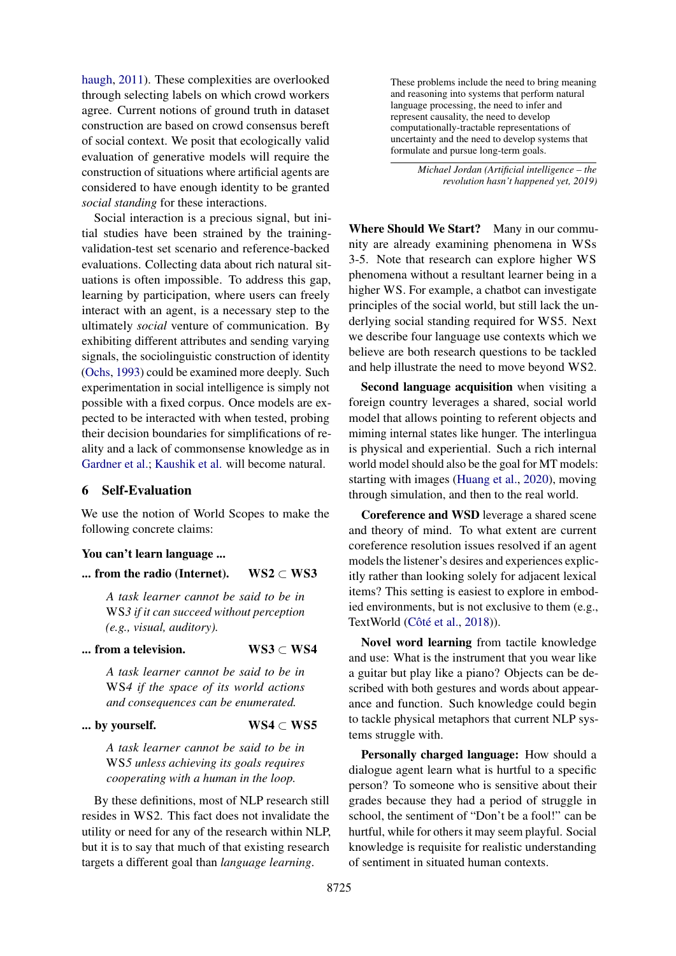[haugh,](#page-17-19) [2011\)](#page-17-19). These complexities are overlooked through selecting labels on which crowd workers agree. Current notions of ground truth in dataset construction are based on crowd consensus bereft of social context. We posit that ecologically valid evaluation of generative models will require the construction of situations where artificial agents are considered to have enough identity to be granted *social standing* for these interactions.

Social interaction is a precious signal, but initial studies have been strained by the trainingvalidation-test set scenario and reference-backed evaluations. Collecting data about rich natural situations is often impossible. To address this gap, learning by participation, where users can freely interact with an agent, is a necessary step to the ultimately *social* venture of communication. By exhibiting different attributes and sending varying signals, the sociolinguistic construction of identity [\(Ochs,](#page-14-20) [1993\)](#page-14-20) could be examined more deeply. Such experimentation in social intelligence is simply not possible with a fixed corpus. Once models are expected to be interacted with when tested, probing their decision boundaries for simplifications of reality and a lack of commonsense knowledge as in [Gardner et al.;](#page-11-21) [Kaushik et al.](#page-12-20) will become natural.

### 6 Self-Evaluation

We use the notion of World Scopes to make the following concrete claims:

### You can't learn language ...

... from the radio (Internet). WS2  $\subset$  WS3

*A task learner cannot be said to be in* WS*3 if it can succeed without perception (e.g., visual, auditory).*

#### ... from a television. WS3  $\subset$  WS4

*A task learner cannot be said to be in* WS*4 if the space of its world actions and consequences can be enumerated.*

#### ... by yourself. WS4  $\subset$  WS5

*A task learner cannot be said to be in* WS*5 unless achieving its goals requires cooperating with a human in the loop.*

By these definitions, most of NLP research still resides in WS2. This fact does not invalidate the utility or need for any of the research within NLP, but it is to say that much of that existing research targets a different goal than *language learning*.

These problems include the need to bring meaning and reasoning into systems that perform natural language processing, the need to infer and represent causality, the need to develop computationally-tractable representations of uncertainty and the need to develop systems that formulate and pursue long-term goals.

> *Michael Jordan (Artificial intelligence – the revolution hasn't happened yet, 2019)*

Where Should We Start? Many in our community are already examining phenomena in WSs 3-5. Note that research can explore higher WS phenomena without a resultant learner being in a higher WS. For example, a chatbot can investigate principles of the social world, but still lack the underlying social standing required for WS5. Next we describe four language use contexts which we believe are both research questions to be tackled and help illustrate the need to move beyond WS2.

Second language acquisition when visiting a foreign country leverages a shared, social world model that allows pointing to referent objects and miming internal states like hunger. The interlingua is physical and experiential. Such a rich internal world model should also be the goal for MT models: starting with images [\(Huang et al.,](#page-12-21) [2020\)](#page-12-21), moving through simulation, and then to the real world.

Coreference and WSD leverage a shared scene and theory of mind. To what extent are current coreference resolution issues resolved if an agent models the listener's desires and experiences explicitly rather than looking solely for adjacent lexical items? This setting is easiest to explore in embodied environments, but is not exclusive to them (e.g., TextWorld [\(Côté et al.,](#page-10-21) [2018\)](#page-10-21)).

Novel word learning from tactile knowledge and use: What is the instrument that you wear like a guitar but play like a piano? Objects can be described with both gestures and words about appearance and function. Such knowledge could begin to tackle physical metaphors that current NLP systems struggle with.

Personally charged language: How should a dialogue agent learn what is hurtful to a specific person? To someone who is sensitive about their grades because they had a period of struggle in school, the sentiment of "Don't be a fool!" can be hurtful, while for others it may seem playful. Social knowledge is requisite for realistic understanding of sentiment in situated human contexts.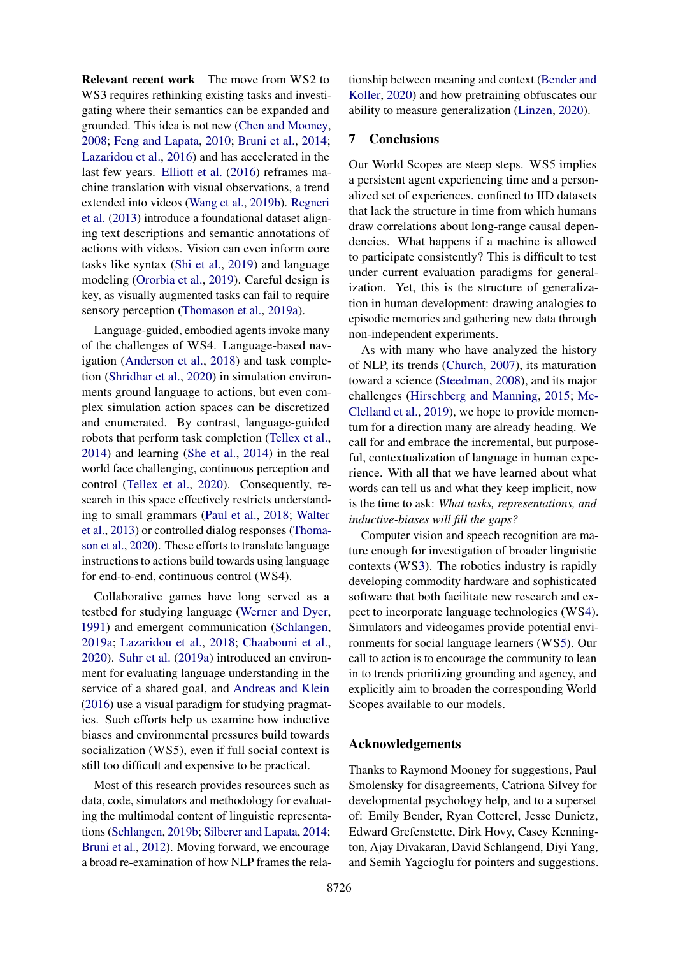Relevant recent work The move from WS2 to WS3 requires rethinking existing tasks and investigating where their semantics can be expanded and grounded. This idea is not new [\(Chen and Mooney,](#page-10-22) [2008;](#page-10-22) [Feng and Lapata,](#page-11-22) [2010;](#page-11-22) [Bruni et al.,](#page-10-23) [2014;](#page-10-23) [Lazaridou et al.,](#page-12-22) [2016\)](#page-12-22) and has accelerated in the last few years. [Elliott et al.](#page-11-23) [\(2016\)](#page-11-23) reframes machine translation with visual observations, a trend extended into videos [\(Wang et al.,](#page-17-7) [2019b\)](#page-17-7). [Regneri](#page-14-21) [et al.](#page-14-21) [\(2013\)](#page-14-21) introduce a foundational dataset aligning text descriptions and semantic annotations of actions with videos. Vision can even inform core tasks like syntax [\(Shi et al.,](#page-15-16) [2019\)](#page-15-16) and language modeling [\(Ororbia et al.,](#page-14-22) [2019\)](#page-14-22). Careful design is key, as visually augmented tasks can fail to require sensory perception [\(Thomason et al.,](#page-16-20) [2019a\)](#page-16-20).

Language-guided, embodied agents invoke many of the challenges of WS4. Language-based navigation [\(Anderson et al.,](#page-9-13) [2018\)](#page-9-13) and task completion [\(Shridhar et al.,](#page-15-10) [2020\)](#page-15-10) in simulation environments ground language to actions, but even complex simulation action spaces can be discretized and enumerated. By contrast, language-guided robots that perform task completion [\(Tellex et al.,](#page-16-21) [2014\)](#page-16-21) and learning [\(She et al.,](#page-15-17) [2014\)](#page-15-17) in the real world face challenging, continuous perception and control [\(Tellex et al.,](#page-16-15) [2020\)](#page-16-15). Consequently, research in this space effectively restricts understanding to small grammars [\(Paul et al.,](#page-14-23) [2018;](#page-14-23) [Walter](#page-17-20) [et al.,](#page-17-20) [2013\)](#page-17-20) or controlled dialog responses [\(Thoma](#page-16-14)[son et al.,](#page-16-14) [2020\)](#page-16-14). These efforts to translate language instructions to actions build towards using language for end-to-end, continuous control (WS4).

Collaborative games have long served as a testbed for studying language [\(Werner and Dyer,](#page-17-21) [1991\)](#page-17-21) and emergent communication [\(Schlangen,](#page-15-18) [2019a;](#page-15-18) [Lazaridou et al.,](#page-12-23) [2018;](#page-12-23) [Chaabouni et al.,](#page-10-24) [2020\)](#page-10-24). [Suhr et al.](#page-16-22) [\(2019a\)](#page-16-22) introduced an environment for evaluating language understanding in the service of a shared goal, and [Andreas and Klein](#page-9-21) [\(2016\)](#page-9-21) use a visual paradigm for studying pragmatics. Such efforts help us examine how inductive biases and environmental pressures build towards socialization (WS5), even if full social context is still too difficult and expensive to be practical.

Most of this research provides resources such as data, code, simulators and methodology for evaluating the multimodal content of linguistic representations [\(Schlangen,](#page-15-19) [2019b;](#page-15-19) [Silberer and Lapata,](#page-15-20) [2014;](#page-15-20) [Bruni et al.,](#page-9-22) [2012\)](#page-9-22). Moving forward, we encourage a broad re-examination of how NLP frames the relationship between meaning and context [\(Bender and](#page-9-23) [Koller,](#page-9-23) [2020\)](#page-9-23) and how pretraining obfuscates our ability to measure generalization [\(Linzen,](#page-13-21) [2020\)](#page-13-21).

## 7 Conclusions

Our World Scopes are steep steps. WS5 implies a persistent agent experiencing time and a personalized set of experiences. confined to IID datasets that lack the structure in time from which humans draw correlations about long-range causal dependencies. What happens if a machine is allowed to participate consistently? This is difficult to test under current evaluation paradigms for generalization. Yet, this is the structure of generalization in human development: drawing analogies to episodic memories and gathering new data through non-independent experiments.

As with many who have analyzed the history of NLP, its trends [\(Church,](#page-10-25) [2007\)](#page-10-25), its maturation toward a science [\(Steedman,](#page-15-21) [2008\)](#page-15-21), and its major challenges [\(Hirschberg and Manning,](#page-12-24) [2015;](#page-12-24) [Mc-](#page-13-22)[Clelland et al.,](#page-13-22) [2019\)](#page-13-22), we hope to provide momentum for a direction many are already heading. We call for and embrace the incremental, but purposeful, contextualization of language in human experience. With all that we have learned about what words can tell us and what they keep implicit, now is the time to ask: *What tasks, representations, and inductive-biases will fill the gaps?*

Computer vision and speech recognition are mature enough for investigation of broader linguistic contexts (W[S3\)](#page-3-0). The robotics industry is rapidly developing commodity hardware and sophisticated software that both facilitate new research and expect to incorporate language technologies (W[S4\)](#page-4-0). Simulators and videogames provide potential environments for social language learners (W[S5\)](#page-5-0). Our call to action is to encourage the community to lean in to trends prioritizing grounding and agency, and explicitly aim to broaden the corresponding World Scopes available to our models.

# Acknowledgements

Thanks to Raymond Mooney for suggestions, Paul Smolensky for disagreements, Catriona Silvey for developmental psychology help, and to a superset of: Emily Bender, Ryan Cotterel, Jesse Dunietz, Edward Grefenstette, Dirk Hovy, Casey Kennington, Ajay Divakaran, David Schlangend, Diyi Yang, and Semih Yagcioglu for pointers and suggestions.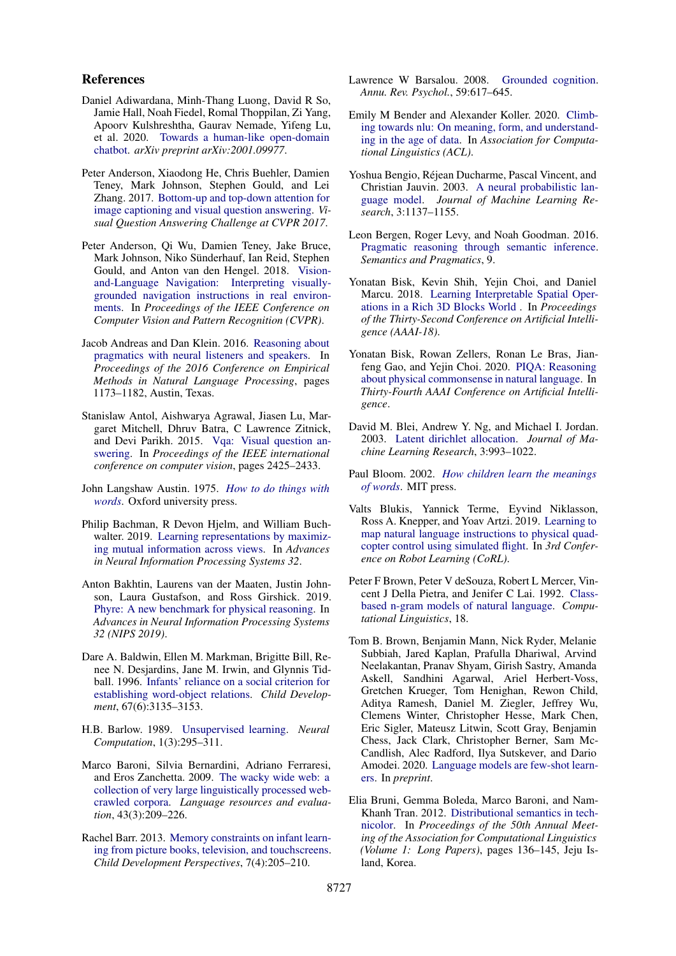#### References

- <span id="page-9-19"></span>Daniel Adiwardana, Minh-Thang Luong, David R So, Jamie Hall, Noah Fiedel, Romal Thoppilan, Zi Yang, Apoorv Kulshreshtha, Gaurav Nemade, Yifeng Lu, et al. 2020. [Towards a human-like open-domain](https://arxiv.org/abs/2001.09977) [chatbot.](https://arxiv.org/abs/2001.09977) *arXiv preprint arXiv:2001.09977*.
- <span id="page-9-12"></span>Peter Anderson, Xiaodong He, Chris Buehler, Damien Teney, Mark Johnson, Stephen Gould, and Lei Zhang. 2017. [Bottom-up and top-down attention for](https://arxiv.org/abs/1707.07998) [image captioning and visual question answering.](https://arxiv.org/abs/1707.07998) *Visual Question Answering Challenge at CVPR 2017*.
- <span id="page-9-13"></span>Peter Anderson, Qi Wu, Damien Teney, Jake Bruce, Mark Johnson, Niko Sünderhauf, Ian Reid, Stephen Gould, and Anton van den Hengel. 2018. [Vision](https://arxiv.org/abs/1711.07280)[and-Language Navigation: Interpreting visually](https://arxiv.org/abs/1711.07280)[grounded navigation instructions in real environ](https://arxiv.org/abs/1711.07280)[ments.](https://arxiv.org/abs/1711.07280) In *Proceedings of the IEEE Conference on Computer Vision and Pattern Recognition (CVPR)*.
- <span id="page-9-21"></span>Jacob Andreas and Dan Klein. 2016. [Reasoning about](https://doi.org/10.18653/v1/D16-1125) [pragmatics with neural listeners and speakers.](https://doi.org/10.18653/v1/D16-1125) In *Proceedings of the 2016 Conference on Empirical Methods in Natural Language Processing*, pages 1173–1182, Austin, Texas.
- <span id="page-9-11"></span>Stanislaw Antol, Aishwarya Agrawal, Jiasen Lu, Margaret Mitchell, Dhruv Batra, C Lawrence Zitnick, and Devi Parikh. 2015. [Vqa: Visual question an](https://arxiv.org/abs/1505.00468)[swering.](https://arxiv.org/abs/1505.00468) In *Proceedings of the IEEE international conference on computer vision*, pages 2425–2433.
- <span id="page-9-1"></span>John Langshaw Austin. 1975. *[How to do things with](https://global.oup.com/academic/product/how-to-do-things-with-words-9780198245537?cc=es&lang=en&s) [words](https://global.oup.com/academic/product/how-to-do-things-with-words-9780198245537?cc=es&lang=en&s)*. Oxford university press.
- <span id="page-9-10"></span>Philip Bachman, R Devon Hjelm, and William Buch-walter. 2019. [Learning representations by maximiz](http://papers.nips.cc/paper/9686-learning-representations-by-maximizing-mutual-information-across-views)[ing mutual information across views.](http://papers.nips.cc/paper/9686-learning-representations-by-maximizing-mutual-information-across-views) In *Advances in Neural Information Processing Systems 32*.
- <span id="page-9-9"></span>Anton Bakhtin, Laurens van der Maaten, Justin Johnson, Laura Gustafson, and Ross Girshick. 2019. [Phyre: A new benchmark for physical reasoning.](http://arxiv.org/abs/1908.05656) In *Advances in Neural Information Processing Systems 32 (NIPS 2019)*.
- <span id="page-9-0"></span>Dare A. Baldwin, Ellen M. Markman, Brigitte Bill, Renee N. Desjardins, Jane M. Irwin, and Glynnis Tidball. 1996. [Infants' reliance on a social criterion for](http://www.jstor.org/stable/1131771) [establishing word-object relations.](http://www.jstor.org/stable/1131771) *Child Development*, 67(6):3135–3153.
- <span id="page-9-5"></span>H.B. Barlow. 1989. [Unsupervised learning.](https://direct.mit.edu/books/book/2856/Unsupervised-LearningFoundations-of-Neural) *Neural Computation*, 1(3):295–311.
- <span id="page-9-6"></span>Marco Baroni, Silvia Bernardini, Adriano Ferraresi, and Eros Zanchetta. 2009. [The wacky wide web: a](https://idp.springer.com/authorize/casa?redirect_uri=https://link.springer.com/content/pdf/10.1007/s10579-009-9081-4.pdf&casa_token=a2FnBvTlrRsAAAAA:-pdW35d97Fvbq-5wIGC3OKn-Sht7Y-F0Ty-taKKlvywslJTIZgHH2wpSRh6itp81EYdIZhyEZkbwvpmZ8Q) [collection of very large linguistically processed web](https://idp.springer.com/authorize/casa?redirect_uri=https://link.springer.com/content/pdf/10.1007/s10579-009-9081-4.pdf&casa_token=a2FnBvTlrRsAAAAA:-pdW35d97Fvbq-5wIGC3OKn-Sht7Y-F0Ty-taKKlvywslJTIZgHH2wpSRh6itp81EYdIZhyEZkbwvpmZ8Q)[crawled corpora.](https://idp.springer.com/authorize/casa?redirect_uri=https://link.springer.com/content/pdf/10.1007/s10579-009-9081-4.pdf&casa_token=a2FnBvTlrRsAAAAA:-pdW35d97Fvbq-5wIGC3OKn-Sht7Y-F0Ty-taKKlvywslJTIZgHH2wpSRh6itp81EYdIZhyEZkbwvpmZ8Q) *Language resources and evaluation*, 43(3):209–226.
- <span id="page-9-15"></span>Rachel Barr. 2013. [Memory constraints on infant learn](https://doi.org/10.1111/cdep.12041)[ing from picture books, television, and touchscreens.](https://doi.org/10.1111/cdep.12041) *Child Development Perspectives*, 7(4):205–210.
- <span id="page-9-17"></span>Lawrence W Barsalou. 2008. [Grounded cognition.](https://www.annualreviews.org/doi/abs/10.1146/annurev.psych.59.103006.093639) *Annu. Rev. Psychol.*, 59:617–645.
- <span id="page-9-23"></span>Emily M Bender and Alexander Koller. 2020. [Climb](https://www.aclweb.org/anthology/2020.acl-main.463)[ing towards nlu: On meaning, form, and understand](https://www.aclweb.org/anthology/2020.acl-main.463)[ing in the age of data.](https://www.aclweb.org/anthology/2020.acl-main.463) In *Association for Computational Linguistics (ACL)*.
- <span id="page-9-2"></span>Yoshua Bengio, Réjean Ducharme, Pascal Vincent, and Christian Jauvin. 2003. [A neural probabilistic lan](https://jmlr.org/papers/volume3/tmp/bengio03a.pdf)[guage model.](https://jmlr.org/papers/volume3/tmp/bengio03a.pdf) *Journal of Machine Learning Research*, 3:1137–1155.
- <span id="page-9-20"></span>Leon Bergen, Roger Levy, and Noah Goodman. 2016. [Pragmatic reasoning through semantic inference.](https://www.jmlr.org/papers/volume3/blei03a/blei03a.pdf) *Semantics and Pragmatics*, 9.
- <span id="page-9-14"></span>Yonatan Bisk, Kevin Shih, Yejin Choi, and Daniel Marcu. 2018. [Learning Interpretable Spatial Oper](https://arxiv.org/abs/1712.03463)[ations in a Rich 3D Blocks World](https://arxiv.org/abs/1712.03463) . In *Proceedings of the Thirty-Second Conference on Artificial Intelligence (AAAI-18)*.
- <span id="page-9-8"></span>Yonatan Bisk, Rowan Zellers, Ronan Le Bras, Jianfeng Gao, and Yejin Choi. 2020. [PIQA: Reasoning](https://arxiv.org/abs/1911.11641) [about physical commonsense in natural language.](https://arxiv.org/abs/1911.11641) In *Thirty-Fourth AAAI Conference on Artificial Intelligence*.
- <span id="page-9-4"></span>David M. Blei, Andrew Y. Ng, and Michael I. Jordan. 2003. [Latent dirichlet allocation.](https://www.jmlr.org/papers/volume3/blei03a/blei03a.pdf) *Journal of Machine Learning Research*, 3:993–1022.
- <span id="page-9-18"></span>Paul Bloom. 2002. *[How children learn the meanings](https://mitpress.mit.edu/books/how-children-learn-meanings-words#:~:text=According%20to=%20Paul%20Bloom=%2C==%20children,general%20learning%20and%20memory%20abilities.) [of words](https://mitpress.mit.edu/books/how-children-learn-meanings-words#:~:text=According%20to=%20Paul%20Bloom=%2C==%20children,general%20learning%20and%20memory%20abilities.)*. MIT press.
- <span id="page-9-16"></span>Valts Blukis, Yannick Terme, Eyvind Niklasson, Ross A. Knepper, and Yoav Artzi. 2019. [Learning to](https://arxiv.org/abs/1910.09664) [map natural language instructions to physical quad](https://arxiv.org/abs/1910.09664)[copter control using simulated flight.](https://arxiv.org/abs/1910.09664) In *3rd Conference on Robot Learning (CoRL)*.
- <span id="page-9-3"></span>Peter F Brown, Peter V deSouza, Robert L Mercer, Vincent J Della Pietra, and Jenifer C Lai. 1992. [Class](http://acl.ldc.upenn.edu/J/J92/J92-4003.pdf)[based n-gram models of natural language.](http://acl.ldc.upenn.edu/J/J92/J92-4003.pdf) *Computational Linguistics*, 18.
- <span id="page-9-7"></span>Tom B. Brown, Benjamin Mann, Nick Ryder, Melanie Subbiah, Jared Kaplan, Prafulla Dhariwal, Arvind Neelakantan, Pranav Shyam, Girish Sastry, Amanda Askell, Sandhini Agarwal, Ariel Herbert-Voss, Gretchen Krueger, Tom Henighan, Rewon Child, Aditya Ramesh, Daniel M. Ziegler, Jeffrey Wu, Clemens Winter, Christopher Hesse, Mark Chen, Eric Sigler, Mateusz Litwin, Scott Gray, Benjamin Chess, Jack Clark, Christopher Berner, Sam Mc-Candlish, Alec Radford, Ilya Sutskever, and Dario Amodei. 2020. [Language models are few-shot learn](https://arxiv.org/abs/2005.14165)[ers.](https://arxiv.org/abs/2005.14165) In *preprint*.
- <span id="page-9-22"></span>Elia Bruni, Gemma Boleda, Marco Baroni, and Nam-Khanh Tran. 2012. [Distributional semantics in tech](https://www.aclweb.org/anthology/P12-1015)[nicolor.](https://www.aclweb.org/anthology/P12-1015) In *Proceedings of the 50th Annual Meeting of the Association for Computational Linguistics (Volume 1: Long Papers)*, pages 136–145, Jeju Island, Korea.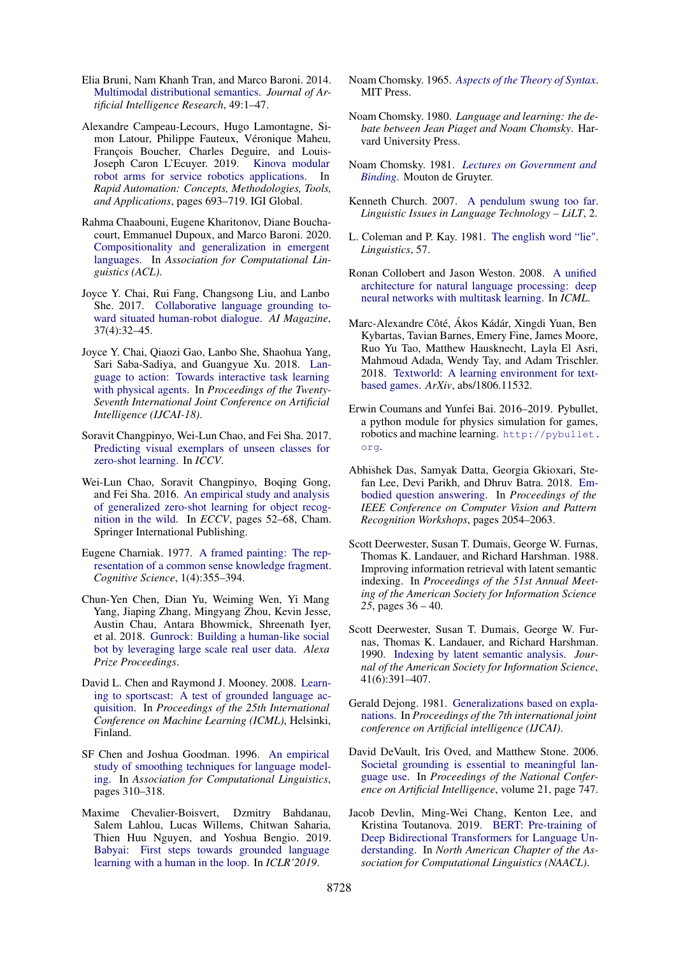- <span id="page-10-23"></span>Elia Bruni, Nam Khanh Tran, and Marco Baroni. 2014. [Multimodal distributional semantics.](https://www.jair.org/index.php/jair/article/view/10857) *Journal of Artificial Intelligence Research*, 49:1–47.
- <span id="page-10-17"></span>Alexandre Campeau-Lecours, Hugo Lamontagne, Simon Latour, Philippe Fauteux, Véronique Maheu, François Boucher, Charles Deguire, and Louis-Joseph Caron L'Ecuyer. 2019. [Kinova modular](https://dl.acm.org/doi/10.4018/IJRAT.2017070104) [robot arms for service robotics applications.](https://dl.acm.org/doi/10.4018/IJRAT.2017070104) In *Rapid Automation: Concepts, Methodologies, Tools, and Applications*, pages 693–719. IGI Global.
- <span id="page-10-24"></span>Rahma Chaabouni, Eugene Kharitonov, Diane Bouchacourt, Emmanuel Dupoux, and Marco Baroni. 2020. [Compositionality and generalization in emergent](https://arxiv.org/abs/2004.09124) [languages.](https://arxiv.org/abs/2004.09124) In *Association for Computational Linguistics (ACL)*.
- <span id="page-10-18"></span>Joyce Y. Chai, Rui Fang, Changsong Liu, and Lanbo She. 2017. [Collaborative language grounding to](https://doi.org/10.1609/aimag.v37i4.2684)[ward situated human-robot dialogue.](https://doi.org/10.1609/aimag.v37i4.2684) *AI Magazine*, 37(4):32–45.
- <span id="page-10-15"></span>Joyce Y. Chai, Qiaozi Gao, Lanbo She, Shaohua Yang, Sari Saba-Sadiya, and Guangyue Xu. 2018. [Lan](https://www.ijcai.org/Proceedings/2018/0001.pdf)[guage to action: Towards interactive task learning](https://www.ijcai.org/Proceedings/2018/0001.pdf) [with physical agents.](https://www.ijcai.org/Proceedings/2018/0001.pdf) In *Proceedings of the Twenty-Seventh International Joint Conference on Artificial Intelligence (IJCAI-18)*.
- <span id="page-10-12"></span>Soravit Changpinyo, Wei-Lun Chao, and Fei Sha. 2017. [Predicting visual exemplars of unseen classes for](Predicting visual exemplars of unseen classes for zero-shot learning.) [zero-shot learning.](Predicting visual exemplars of unseen classes for zero-shot learning.) In *ICCV*.
- <span id="page-10-11"></span>Wei-Lun Chao, Soravit Changpinyo, Boqing Gong, and Fei Sha. 2016. [An empirical study and analysis](https://arxiv.org/abs/1605.04253) [of generalized zero-shot learning for object recog](https://arxiv.org/abs/1605.04253)[nition in the wild.](https://arxiv.org/abs/1605.04253) In *ECCV*, pages 52–68, Cham. Springer International Publishing.
- <span id="page-10-8"></span>Eugene Charniak. 1977. [A framed painting: The rep](https://www.sciencedirect.com/science/article/abs/pii/S0364021377800153)[resentation of a common sense knowledge fragment.](https://www.sciencedirect.com/science/article/abs/pii/S0364021377800153) *Cognitive Science*, 1(4):355–394.
- <span id="page-10-19"></span>Chun-Yen Chen, Dian Yu, Weiming Wen, Yi Mang Yang, Jiaping Zhang, Mingyang Zhou, Kevin Jesse, Austin Chau, Antara Bhowmick, Shreenath Iyer, et al. 2018. [Gunrock: Building a human-like social](https://www.aclweb.org/anthology/D19-3014.pdf) [bot by leveraging large scale real user data.](https://www.aclweb.org/anthology/D19-3014.pdf) *Alexa Prize Proceedings*.
- <span id="page-10-22"></span>David L. Chen and Raymond J. Mooney. 2008. [Learn](http://www.cs.utexas.edu/users/ai-lab?chen:icml08)[ing to sportscast: A test of grounded language ac](http://www.cs.utexas.edu/users/ai-lab?chen:icml08)[quisition.](http://www.cs.utexas.edu/users/ai-lab?chen:icml08) In *Proceedings of the 25th International Conference on Machine Learning (ICML)*, Helsinki, Finland.
- <span id="page-10-7"></span>SF Chen and Joshua Goodman. 1996. [An empirical](https://www.aclweb.org/anthology/P96-1041.pdf) [study of smoothing techniques for language model](https://www.aclweb.org/anthology/P96-1041.pdf)[ing.](https://www.aclweb.org/anthology/P96-1041.pdf) In *Association for Computational Linguistics*, pages 310–318.
- <span id="page-10-13"></span>Maxime Chevalier-Boisvert, Dzmitry Bahdanau, Salem Lahlou, Lucas Willems, Chitwan Saharia, Thien Huu Nguyen, and Yoshua Bengio. 2019. [Babyai: First steps towards grounded language](https://arxiv.org/abs/1810.08272) [learning with a human in the loop.](https://arxiv.org/abs/1810.08272) In *ICLR'2019*.
- <span id="page-10-1"></span>Noam Chomsky. 1965. *[Aspects of the Theory of Syntax](https://mitpress.mit.edu/books/aspects-theory-syntax)*. MIT Press.
- <span id="page-10-2"></span>Noam Chomsky. 1980. *Language and learning: the debate between Jean Piaget and Noam Chomsky*. Harvard University Press.
- <span id="page-10-14"></span>Noam Chomsky. 1981. *[Lectures on Government and](https://books.google.com/books/about/Lectures_on_Government_and_Binding.html?id=0H4mngEACAAJ) [Binding](https://books.google.com/books/about/Lectures_on_Government_and_Binding.html?id=0H4mngEACAAJ)*. Mouton de Gruyter.
- <span id="page-10-25"></span>Kenneth Church. 2007. [A pendulum swung too far.](https://journals.linguisticsociety.org/elanguage/lilt/article/view/2581.html) *Linguistic Issues in Language Technology – LiLT*, 2.
- <span id="page-10-3"></span>L. Coleman and P. Kay. 1981. [The english word "lie".](https://muse.jhu.edu/article/452208) *Linguistics*, 57.
- <span id="page-10-4"></span>Ronan Collobert and Jason Weston. 2008. [A unified](https://dl.acm.org/doi/10.1145/1390156.1390177) [architecture for natural language processing: deep](https://dl.acm.org/doi/10.1145/1390156.1390177) [neural networks with multitask learning.](https://dl.acm.org/doi/10.1145/1390156.1390177) In *ICML*.
- <span id="page-10-21"></span>Marc-Alexandre Côté, Ákos Kádár, Xingdi Yuan, Ben Kybartas, Tavian Barnes, Emery Fine, James Moore, Ruo Yu Tao, Matthew Hausknecht, Layla El Asri, Mahmoud Adada, Wendy Tay, and Adam Trischler. 2018. [Textworld: A learning environment for text](https://www.microsoft.com/en-us/research/project/textworld/)[based games.](https://www.microsoft.com/en-us/research/project/textworld/) *ArXiv*, abs/1806.11532.
- <span id="page-10-16"></span>Erwin Coumans and Yunfei Bai. 2016–2019. Pybullet, a python module for physics simulation for games, robotics and machine learning. [http://pybullet.](http://pybullet.org) [org](http://pybullet.org).
- <span id="page-10-10"></span>Abhishek Das, Samyak Datta, Georgia Gkioxari, Stefan Lee, Devi Parikh, and Dhruv Batra. 2018. [Em](https://arxiv.org/abs/1711.11543)[bodied question answering.](https://arxiv.org/abs/1711.11543) In *Proceedings of the IEEE Conference on Computer Vision and Pattern Recognition Workshops*, pages 2054–2063.
- <span id="page-10-5"></span>Scott Deerwester, Susan T. Dumais, George W. Furnas, Thomas K. Landauer, and Richard Harshman. 1988. Improving information retrieval with latent semantic indexing. In *Proceedings of the 51st Annual Meeting of the American Society for Information Science 25*, pages 36 – 40.
- <span id="page-10-6"></span>Scott Deerwester, Susan T. Dumais, George W. Furnas, Thomas K. Landauer, and Richard Harshman. 1990. [Indexing by latent semantic analysis.](https://doi.org/10.1002/(SICI)1097-4571(199009)41:6<391::AID-ASI1>3.0.CO;2-9) *Journal of the American Society for Information Science*, 41(6):391–407.
- <span id="page-10-9"></span>Gerald Dejong. 1981. [Generalizations based on expla](https://dl.acm.org/doi/10.5555/1623156.1623172)[nations.](https://dl.acm.org/doi/10.5555/1623156.1623172) In *Proceedings of the 7th international joint conference on Artificial intelligence (IJCAI)*.
- <span id="page-10-20"></span>David DeVault, Iris Oved, and Matthew Stone. 2006. [Societal grounding is essential to meaningful lan](https://www.aaai.org/Library/AAAI/2006/aaai06-119.php)[guage use.](https://www.aaai.org/Library/AAAI/2006/aaai06-119.php) In *Proceedings of the National Conference on Artificial Intelligence*, volume 21, page 747.
- <span id="page-10-0"></span>Jacob Devlin, Ming-Wei Chang, Kenton Lee, and Kristina Toutanova. 2019. [BERT: Pre-training of](https://arxiv.org/abs/1810.04805) [Deep Bidirectional Transformers for Language Un](https://arxiv.org/abs/1810.04805)[derstanding.](https://arxiv.org/abs/1810.04805) In *North American Chapter of the Association for Computational Linguistics (NAACL)*.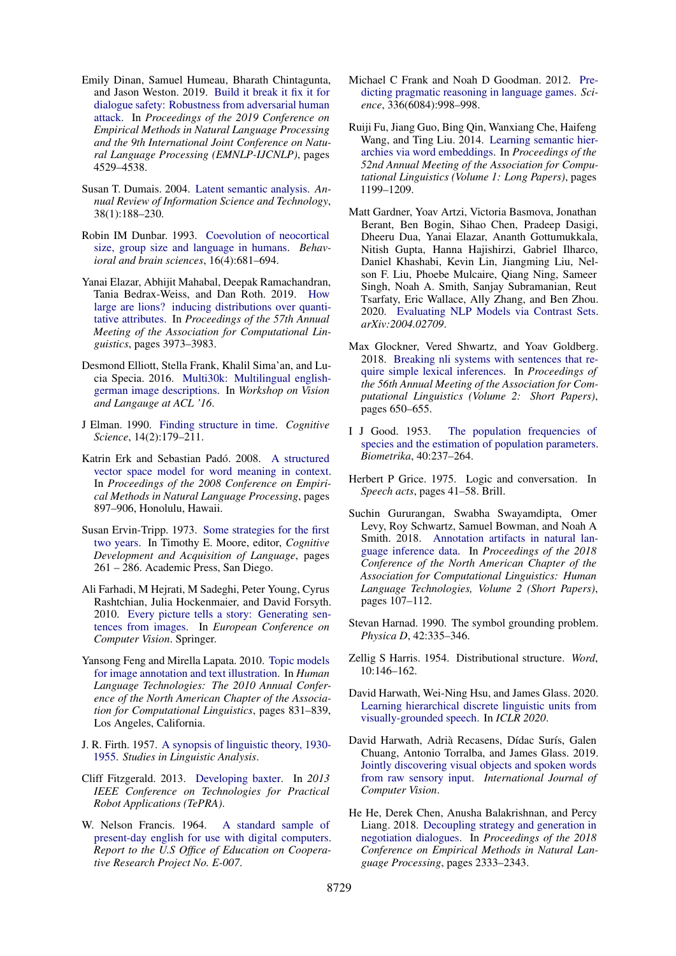- <span id="page-11-20"></span>Emily Dinan, Samuel Humeau, Bharath Chintagunta, and Jason Weston. 2019. [Build it break it fix it for](https://arxiv.org/abs/1908.06083) [dialogue safety: Robustness from adversarial human](https://arxiv.org/abs/1908.06083) [attack.](https://arxiv.org/abs/1908.06083) In *Proceedings of the 2019 Conference on Empirical Methods in Natural Language Processing and the 9th International Joint Conference on Natural Language Processing (EMNLP-IJCNLP)*, pages 4529–4538.
- <span id="page-11-3"></span>Susan T. Dumais. 2004. [Latent semantic analysis.](https://doi.org/10.1002/aris.1440380105) *Annual Review of Information Science and Technology*, 38(1):188–230.
- <span id="page-11-14"></span>Robin IM Dunbar. 1993. [Coevolution of neocortical](https://www.cambridge.org/core/journals/behavioral-and-brain-sciences/article/coevolution-of-neocortical-size-group-size-and-language-in-humans/4290FF4D7362511136B9A15A96E74FEF) [size, group size and language in humans.](https://www.cambridge.org/core/journals/behavioral-and-brain-sciences/article/coevolution-of-neocortical-size-group-size-and-language-in-humans/4290FF4D7362511136B9A15A96E74FEF) *Behavioral and brain sciences*, 16(4):681–694.
- <span id="page-11-12"></span>Yanai Elazar, Abhijit Mahabal, Deepak Ramachandran, Tania Bedrax-Weiss, and Dan Roth. 2019. [How](https://arxiv.org/abs/1906.01327) [large are lions? inducing distributions over quanti](https://arxiv.org/abs/1906.01327)[tative attributes.](https://arxiv.org/abs/1906.01327) In *Proceedings of the 57th Annual Meeting of the Association for Computational Linguistics*, pages 3973–3983.
- <span id="page-11-23"></span>Desmond Elliott, Stella Frank, Khalil Sima'an, and Lucia Specia. 2016. [Multi30k: Multilingual english](https://www.aclweb.org/anthology/W16-3210/)[german image descriptions.](https://www.aclweb.org/anthology/W16-3210/) In *Workshop on Vision and Langauge at ACL '16*.
- <span id="page-11-1"></span>J Elman. 1990. [Finding structure in time.](http://doi.wiley.com/10.1016/0364-0213(90)90002-E) *Cognitive Science*, 14(2):179–211.
- <span id="page-11-4"></span>Katrin Erk and Sebastian Padó. 2008. [A structured](https://www.aclweb.org/anthology/D08-1094) [vector space model for word meaning in context.](https://www.aclweb.org/anthology/D08-1094) In *Proceedings of the 2008 Conference on Empirical Methods in Natural Language Processing*, pages 897–906, Honolulu, Hawaii.
- <span id="page-11-0"></span>Susan Ervin-Tripp. 1973. [Some strategies for the first](https://doi.org/https://doi.org/10.1016/B978-0-12-505850-6.50018-9) [two years.](https://doi.org/https://doi.org/10.1016/B978-0-12-505850-6.50018-9) In Timothy E. Moore, editor, *Cognitive Development and Acquisition of Language*, pages 261 – 286. Academic Press, San Diego.
- <span id="page-11-9"></span>Ali Farhadi, M Hejrati, M Sadeghi, Peter Young, Cyrus Rashtchian, Julia Hockenmaier, and David Forsyth. 2010. [Every picture tells a story: Generating sen](http://www.springerlink.com/index/H367766M452N5675.pdf)[tences from images.](http://www.springerlink.com/index/H367766M452N5675.pdf) In *European Conference on Computer Vision*. Springer.
- <span id="page-11-22"></span>Yansong Feng and Mirella Lapata. 2010. [Topic models](https://www.aclweb.org/anthology/N10-1125) [for image annotation and text illustration.](https://www.aclweb.org/anthology/N10-1125) In *Human Language Technologies: The 2010 Annual Conference of the North American Chapter of the Association for Computational Linguistics*, pages 831–839, Los Angeles, California.
- <span id="page-11-2"></span>J. R. Firth. 1957. [A synopsis of linguistic theory, 1930-](https://books.google.com/books/about/A_Synopsis_of_Linguistic_Theory_1930_195.html?id=T8LDtgAACAAJ) [1955.](https://books.google.com/books/about/A_Synopsis_of_Linguistic_Theory_1930_195.html?id=T8LDtgAACAAJ) *Studies in Linguistic Analysis*.
- <span id="page-11-13"></span>Cliff Fitzgerald. 2013. [Developing baxter.](https://ieeexplore.ieee.org/document/6556344) In *2013 IEEE Conference on Technologies for Practical Robot Applications (TePRA)*.
- <span id="page-11-5"></span>W. Nelson Francis. 1964. [A standard sample of](https://books.google.com/books/about/A_Standard_Sample_of_Present_day_English.html?id=KupWAAAAMAAJ) [present-day english for use with digital computers.](https://books.google.com/books/about/A_Standard_Sample_of_Present_day_English.html?id=KupWAAAAMAAJ) *Report to the U.S Office of Education on Cooperative Research Project No. E-007*.
- <span id="page-11-17"></span>Michael C Frank and Noah D Goodman. 2012. [Pre](https://science.sciencemag.org/content/336/6084/998)[dicting pragmatic reasoning in language games.](https://science.sciencemag.org/content/336/6084/998) *Science*, 336(6084):998–998.
- <span id="page-11-7"></span>Ruiji Fu, Jiang Guo, Bing Qin, Wanxiang Che, Haifeng Wang, and Ting Liu. 2014. [Learning semantic hier](https://www.aclweb.org/anthology/P14-1113/)[archies via word embeddings.](https://www.aclweb.org/anthology/P14-1113/) In *Proceedings of the 52nd Annual Meeting of the Association for Computational Linguistics (Volume 1: Long Papers)*, pages 1199–1209.
- <span id="page-11-21"></span>Matt Gardner, Yoav Artzi, Victoria Basmova, Jonathan Berant, Ben Bogin, Sihao Chen, Pradeep Dasigi, Dheeru Dua, Yanai Elazar, Ananth Gottumukkala, Nitish Gupta, Hanna Hajishirzi, Gabriel Ilharco, Daniel Khashabi, Kevin Lin, Jiangming Liu, Nelson F. Liu, Phoebe Mulcaire, Qiang Ning, Sameer Singh, Noah A. Smith, Sanjay Subramanian, Reut Tsarfaty, Eric Wallace, Ally Zhang, and Ben Zhou. 2020. [Evaluating NLP Models via Contrast Sets.](https://arxiv.org/abs/2004.02709) *arXiv:2004.02709*.
- <span id="page-11-19"></span>Max Glockner, Vered Shwartz, and Yoav Goldberg. 2018. [Breaking nli systems with sentences that re](https://www.aclweb.org/anthology/P18-2103/)[quire simple lexical inferences.](https://www.aclweb.org/anthology/P18-2103/) In *Proceedings of the 56th Annual Meeting of the Association for Computational Linguistics (Volume 2: Short Papers)*, pages 650–655.
- <span id="page-11-6"></span>I J Good. 1953. [The population frequencies of](http://www.jstor.org/discover/10.2307/2333344?uid=3739256&uid=2460338175&uid=2460337855&uid=2&uid=4&uid=83&uid=63&sid=21100869675971) [species and the estimation of population parameters.](http://www.jstor.org/discover/10.2307/2333344?uid=3739256&uid=2460338175&uid=2460337855&uid=2&uid=4&uid=83&uid=63&sid=21100869675971) *Biometrika*, 40:237–264.
- <span id="page-11-15"></span>Herbert P Grice. 1975. Logic and conversation. In *Speech acts*, pages 41–58. Brill.
- <span id="page-11-18"></span>Suchin Gururangan, Swabha Swayamdipta, Omer Levy, Roy Schwartz, Samuel Bowman, and Noah A Smith. 2018. [Annotation artifacts in natural lan](https://arxiv.org/abs/1803.02324)[guage inference data.](https://arxiv.org/abs/1803.02324) In *Proceedings of the 2018 Conference of the North American Chapter of the Association for Computational Linguistics: Human Language Technologies, Volume 2 (Short Papers)*, pages 107–112.
- <span id="page-11-8"></span>Stevan Harnad. 1990. The symbol grounding problem. *Physica D*, 42:335–346.
- Zellig S Harris. 1954. Distributional structure. *Word*, 10:146–162.
- <span id="page-11-11"></span>David Harwath, Wei-Ning Hsu, and James Glass. 2020. [Learning hierarchical discrete linguistic units from](https://arxiv.org/abs/1911.09602) [visually-grounded speech.](https://arxiv.org/abs/1911.09602) In *ICLR 2020*.
- <span id="page-11-10"></span>David Harwath, Adrià Recasens, Dídac Surís, Galen Chuang, Antonio Torralba, and James Glass. 2019. [Jointly discovering visual objects and spoken words](https://link.springer.com/article/10.1007/s11263-019-01205-0) [from raw sensory input.](https://link.springer.com/article/10.1007/s11263-019-01205-0) *International Journal of Computer Vision*.
- <span id="page-11-16"></span>He He, Derek Chen, Anusha Balakrishnan, and Percy Liang. 2018. [Decoupling strategy and generation in](https://arxiv.org/abs/1808.09637) [negotiation dialogues.](https://arxiv.org/abs/1808.09637) In *Proceedings of the 2018 Conference on Empirical Methods in Natural Language Processing*, pages 2333–2343.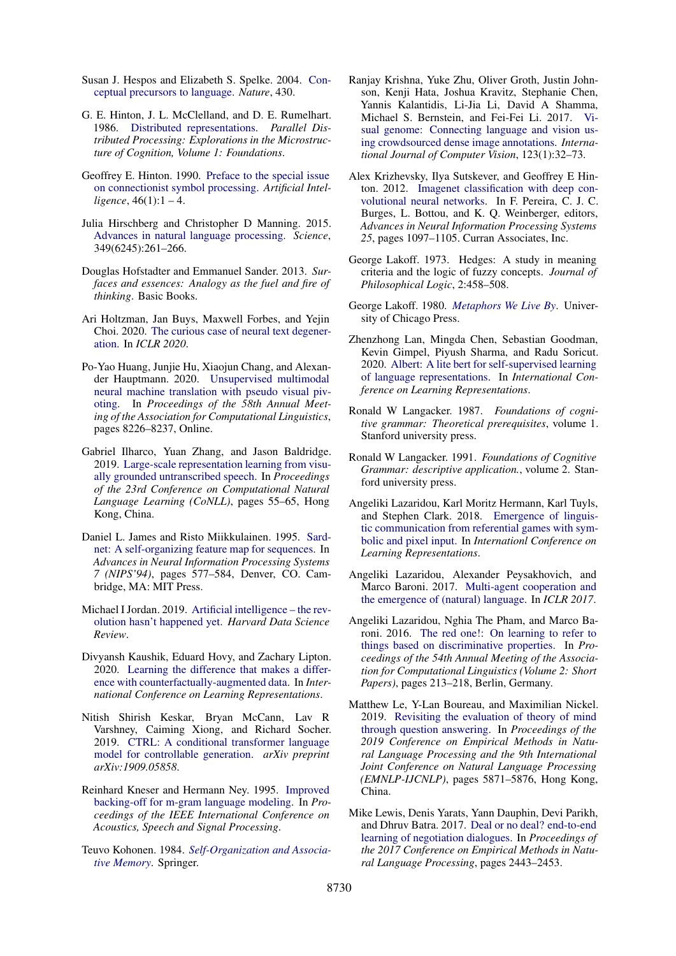- <span id="page-12-13"></span>Susan J. Hespos and Elizabeth S. Spelke. 2004. [Con](https://www.nature.com/articles/nature02634)[ceptual precursors to language.](https://www.nature.com/articles/nature02634) *Nature*, 430.
- <span id="page-12-6"></span>G. E. Hinton, J. L. McClelland, and D. E. Rumelhart. 1986. [Distributed representations.](http://cognet.mit.edu/book/parallel-distributed-processing-volume-1) *Parallel Distributed Processing: Explorations in the Microstructure of Cognition, Volume 1: Foundations*.
- <span id="page-12-4"></span>Geoffrey E. Hinton. 1990. [Preface to the special issue](https://doi.org/https://doi.org/10.1016/0004-3702(90)90002-H) [on connectionist symbol processing.](https://doi.org/https://doi.org/10.1016/0004-3702(90)90002-H) *Artificial Intel-* $$
- <span id="page-12-24"></span>Julia Hirschberg and Christopher D Manning. 2015. [Advances in natural language processing.](http://www.sciencemag.org/content/349/6245/261.full) *Science*, 349(6245):261–266.
- <span id="page-12-11"></span>Douglas Hofstadter and Emmanuel Sander. 2013. *Surfaces and essences: Analogy as the fuel and fire of thinking*. Basic Books.
- <span id="page-12-19"></span>Ari Holtzman, Jan Buys, Maxwell Forbes, and Yejin Choi. 2020. [The curious case of neural text degener](https://arxiv.org/abs/1904.09751)[ation.](https://arxiv.org/abs/1904.09751) In *ICLR 2020*.
- <span id="page-12-21"></span>Po-Yao Huang, Junjie Hu, Xiaojun Chang, and Alexander Hauptmann. 2020. [Unsupervised multimodal](https://doi.org/10.18653/v1/2020.acl-main.731) [neural machine translation with pseudo visual piv](https://doi.org/10.18653/v1/2020.acl-main.731)[oting.](https://doi.org/10.18653/v1/2020.acl-main.731) In *Proceedings of the 58th Annual Meeting of the Association for Computational Linguistics*, pages 8226–8237, Online.
- <span id="page-12-9"></span>Gabriel Ilharco, Yuan Zhang, and Jason Baldridge. 2019. [Large-scale representation learning from visu](https://doi.org/10.18653/v1/K19-1006)[ally grounded untranscribed speech.](https://doi.org/10.18653/v1/K19-1006) In *Proceedings of the 23rd Conference on Computational Natural Language Learning (CoNLL)*, pages 55–65, Hong Kong, China.
- <span id="page-12-3"></span>Daniel L. James and Risto Miikkulainen. 1995. [Sard](http://nn.cs.utexas.edu/?james:nips95)[net: A self-organizing feature map for sequences.](http://nn.cs.utexas.edu/?james:nips95) In *Advances in Neural Information Processing Systems 7 (NIPS'94)*, pages 577–584, Denver, CO. Cambridge, MA: MIT Press.
- Michael I Jordan. 2019. [Artificial intelligence the rev](https://hdsr.mitpress.mit.edu/pub/wot7mkc1/release/8)[olution hasn't happened yet.](https://hdsr.mitpress.mit.edu/pub/wot7mkc1/release/8) *Harvard Data Science Review*.
- <span id="page-12-20"></span>Divyansh Kaushik, Eduard Hovy, and Zachary Lipton. 2020. [Learning the difference that makes a differ](https://openreview.net/forum?id=Sklgs0NFvr)[ence with counterfactually-augmented data.](https://openreview.net/forum?id=Sklgs0NFvr) In *International Conference on Learning Representations*.
- <span id="page-12-0"></span>Nitish Shirish Keskar, Bryan McCann, Lav R Varshney, Caiming Xiong, and Richard Socher. 2019. [CTRL: A conditional transformer language](https://arxiv.org/abs/1909.05858) [model for controllable generation.](https://arxiv.org/abs/1909.05858) *arXiv preprint arXiv:1909.05858*.
- <span id="page-12-8"></span>Reinhard Kneser and Hermann Ney. 1995. [Improved](https://ieeexplore.ieee.org/document/479394/) [backing-off for m-gram language modeling.](https://ieeexplore.ieee.org/document/479394/) In *Proceedings of the IEEE International Conference on Acoustics, Speech and Signal Processing*.
- <span id="page-12-5"></span>Teuvo Kohonen. 1984. *[Self-Organization and Associa](https://www.springer.com/gp/book/9783540513872)[tive Memory](https://www.springer.com/gp/book/9783540513872)*. Springer.
- <span id="page-12-12"></span>Ranjay Krishna, Yuke Zhu, Oliver Groth, Justin Johnson, Kenji Hata, Joshua Kravitz, Stephanie Chen, Yannis Kalantidis, Li-Jia Li, David A Shamma, Michael S. Bernstein, and Fei-Fei Li. 2017. [Vi](https://arxiv.org/abs/1602.07332)[sual genome: Connecting language and vision us](https://arxiv.org/abs/1602.07332)[ing crowdsourced dense image annotations.](https://arxiv.org/abs/1602.07332) *International Journal of Computer Vision*, 123(1):32–73.
- <span id="page-12-7"></span>Alex Krizhevsky, Ilya Sutskever, and Geoffrey E Hinton. 2012. [Imagenet classification with deep con](http://papers.nips.cc/paper/4824-imagenet-classification-with-deep-convolutional-neural-networks.pdf)[volutional neural networks.](http://papers.nips.cc/paper/4824-imagenet-classification-with-deep-convolutional-neural-networks.pdf) In F. Pereira, C. J. C. Burges, L. Bottou, and K. Q. Weinberger, editors, *Advances in Neural Information Processing Systems 25*, pages 1097–1105. Curran Associates, Inc.
- <span id="page-12-2"></span>George Lakoff. 1973. Hedges: A study in meaning criteria and the logic of fuzzy concepts. *Journal of Philosophical Logic*, 2:458–508.
- <span id="page-12-10"></span>George Lakoff. 1980. *[Metaphors We Live By](https://press.uchicago.edu/ucp/books/book/chicago/M/bo3637992.html)*. University of Chicago Press.
- <span id="page-12-1"></span>Zhenzhong Lan, Mingda Chen, Sebastian Goodman, Kevin Gimpel, Piyush Sharma, and Radu Soricut. 2020. [Albert: A lite bert for self-supervised learning](https://openreview.net/forum?id=H1eA7AEtvS) [of language representations.](https://openreview.net/forum?id=H1eA7AEtvS) In *International Conference on Learning Representations*.
- <span id="page-12-14"></span>Ronald W Langacker. 1987. *Foundations of cognitive grammar: Theoretical prerequisites*, volume 1. Stanford university press.
- <span id="page-12-15"></span>Ronald W Langacker. 1991. *Foundations of Cognitive Grammar: descriptive application.*, volume 2. Stanford university press.
- <span id="page-12-23"></span>Angeliki Lazaridou, Karl Moritz Hermann, Karl Tuyls, and Stephen Clark. 2018. [Emergence of linguis](https://arxiv.org/abs/1804.03984)[tic communication from referential games with sym](https://arxiv.org/abs/1804.03984)[bolic and pixel input.](https://arxiv.org/abs/1804.03984) In *Internationl Conference on Learning Representations*.
- <span id="page-12-17"></span>Angeliki Lazaridou, Alexander Peysakhovich, and Marco Baroni. 2017. [Multi-agent cooperation and](https://arxiv.org/abs/1612.07182) [the emergence of \(natural\) language.](https://arxiv.org/abs/1612.07182) In *ICLR 2017*.
- <span id="page-12-22"></span>Angeliki Lazaridou, Nghia The Pham, and Marco Baroni. 2016. [The red one!: On learning to refer to](https://doi.org/10.18653/v1/P16-2035) [things based on discriminative properties.](https://doi.org/10.18653/v1/P16-2035) In *Proceedings of the 54th Annual Meeting of the Association for Computational Linguistics (Volume 2: Short Papers)*, pages 213–218, Berlin, Germany.
- <span id="page-12-18"></span>Matthew Le, Y-Lan Boureau, and Maximilian Nickel. 2019. [Revisiting the evaluation of theory of mind](https://doi.org/10.18653/v1/D19-1598) [through question answering.](https://doi.org/10.18653/v1/D19-1598) In *Proceedings of the 2019 Conference on Empirical Methods in Natural Language Processing and the 9th International Joint Conference on Natural Language Processing (EMNLP-IJCNLP)*, pages 5871–5876, Hong Kong, China.
- <span id="page-12-16"></span>Mike Lewis, Denis Yarats, Yann Dauphin, Devi Parikh, and Dhruv Batra. 2017. [Deal or no deal? end-to-end](https://arxiv.org/abs/1706.05125) [learning of negotiation dialogues.](https://arxiv.org/abs/1706.05125) In *Proceedings of the 2017 Conference on Empirical Methods in Natural Language Processing*, pages 2443–2453.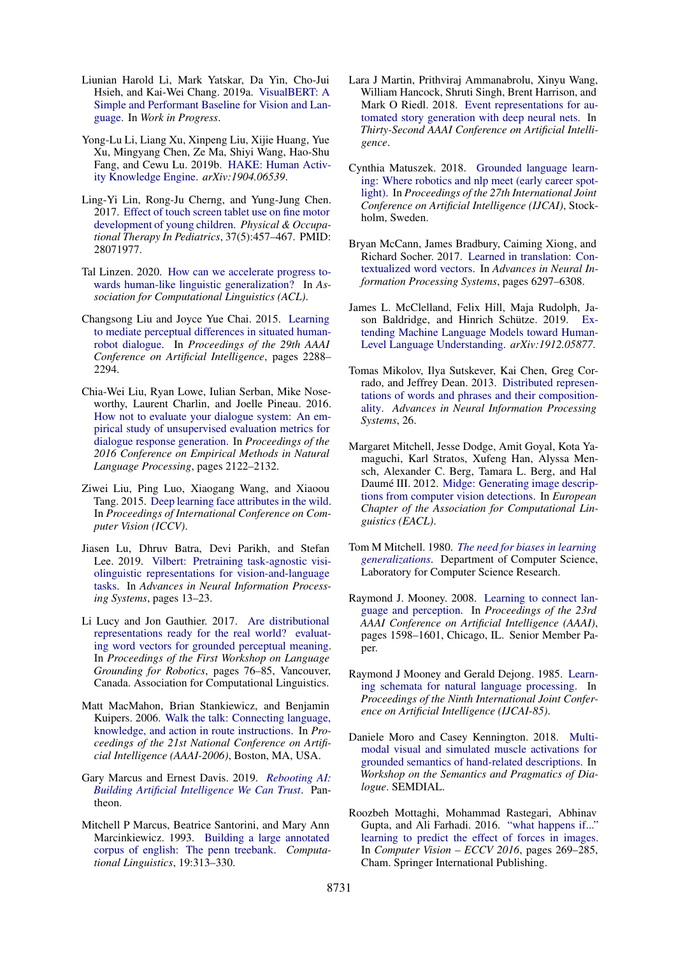- <span id="page-13-9"></span>Liunian Harold Li, Mark Yatskar, Da Yin, Cho-Jui Hsieh, and Kai-Wei Chang. 2019a. [VisualBERT: A](https://arxiv.org/abs/1908.03557) [Simple and Performant Baseline for Vision and Lan](https://arxiv.org/abs/1908.03557)[guage.](https://arxiv.org/abs/1908.03557) In *Work in Progress*.
- <span id="page-13-5"></span>Yong-Lu Li, Liang Xu, Xinpeng Liu, Xijie Huang, Yue Xu, Mingyang Chen, Ze Ma, Shiyi Wang, Hao-Shu Fang, and Cewu Lu. 2019b. [HAKE: Human Activ](https://arxiv.org/abs/1904.06539)[ity Knowledge Engine.](https://arxiv.org/abs/1904.06539) *arXiv:1904.06539*.
- <span id="page-13-16"></span>Ling-Yi Lin, Rong-Ju Cherng, and Yung-Jung Chen. 2017. [Effect of touch screen tablet use on fine motor](https://doi.org/10.1080/01942638.2016.1255290) [development of young children.](https://doi.org/10.1080/01942638.2016.1255290) *Physical & Occupational Therapy In Pediatrics*, 37(5):457–467. PMID: 28071977.
- <span id="page-13-21"></span>Tal Linzen. 2020. [How can we accelerate progress to](https://arxiv.org/abs/2005.00955)[wards human-like linguistic generalization?](https://arxiv.org/abs/2005.00955) In *Association for Computational Linguistics (ACL)*.
- <span id="page-13-14"></span>Changsong Liu and Joyce Yue Chai. 2015. [Learning](https://www.semanticscholar.org/paper/Learning-to-Mediate-Perceptual-Differences-in-Liu-Chai/62b85bfcc54a1190f489a37d6c4659c51f6c9efd) [to mediate perceptual differences in situated human](https://www.semanticscholar.org/paper/Learning-to-Mediate-Perceptual-Differences-in-Liu-Chai/62b85bfcc54a1190f489a37d6c4659c51f6c9efd)[robot dialogue.](https://www.semanticscholar.org/paper/Learning-to-Mediate-Perceptual-Differences-in-Liu-Chai/62b85bfcc54a1190f489a37d6c4659c51f6c9efd) In *Proceedings of the 29th AAAI Conference on Artificial Intelligence*, pages 2288– 2294.
- <span id="page-13-18"></span>Chia-Wei Liu, Ryan Lowe, Iulian Serban, Mike Noseworthy, Laurent Charlin, and Joelle Pineau. 2016. [How not to evaluate your dialogue system: An em](https://arxiv.org/abs/1603.08023)[pirical study of unsupervised evaluation metrics for](https://arxiv.org/abs/1603.08023) [dialogue response generation.](https://arxiv.org/abs/1603.08023) In *Proceedings of the 2016 Conference on Empirical Methods in Natural Language Processing*, pages 2122–2132.
- <span id="page-13-11"></span>Ziwei Liu, Ping Luo, Xiaogang Wang, and Xiaoou Tang. 2015. [Deep learning face attributes in the wild.](https://arxiv.org/abs/1411.7766) In *Proceedings of International Conference on Computer Vision (ICCV)*.
- <span id="page-13-10"></span>Jiasen Lu, Dhruv Batra, Devi Parikh, and Stefan Lee. 2019. [Vilbert: Pretraining task-agnostic visi](https://arxiv.org/abs/1908.02265)[olinguistic representations for vision-and-language](https://arxiv.org/abs/1908.02265) [tasks.](https://arxiv.org/abs/1908.02265) In *Advances in Neural Information Processing Systems*, pages 13–23.
- <span id="page-13-3"></span>Li Lucy and Jon Gauthier. 2017. [Are distributional](https://doi.org/10.18653/v1/W17-2810) [representations ready for the real world? evaluat](https://doi.org/10.18653/v1/W17-2810)[ing word vectors for grounded perceptual meaning.](https://doi.org/10.18653/v1/W17-2810) In *Proceedings of the First Workshop on Language Grounding for Robotics*, pages 76–85, Vancouver, Canada. Association for Computational Linguistics.
- <span id="page-13-12"></span>Matt MacMahon, Brian Stankiewicz, and Benjamin Kuipers. 2006. [Walk the talk: Connecting language,](https://www.aaai.org/Papers/AAAI/2006/AAAI06-232.pdf) [knowledge, and action in route instructions.](https://www.aaai.org/Papers/AAAI/2006/AAAI06-232.pdf) In *Proceedings of the 21st National Conference on Artificial Intelligence (AAAI-2006)*, Boston, MA, USA.
- <span id="page-13-17"></span>Gary Marcus and Ernest Davis. 2019. *[Rebooting AI:](http://rebooting.ai/) [Building Artificial Intelligence We Can Trust](http://rebooting.ai/)*. Pantheon.
- <span id="page-13-0"></span>Mitchell P Marcus, Beatrice Santorini, and Mary Ann Marcinkiewicz. 1993. [Building a large annotated](http://acl.ldc.upenn.edu/J/J93/J93%20-2004.pdf) [corpus of english: The penn treebank.](http://acl.ldc.upenn.edu/J/J93/J93%20-2004.pdf) *Computational Linguistics*, 19:313–330.
- <span id="page-13-19"></span>Lara J Martin, Prithviraj Ammanabrolu, Xinyu Wang, William Hancock, Shruti Singh, Brent Harrison, and Mark O Riedl. 2018. [Event representations for au](https://arxiv.org/abs/1706.01331)[tomated story generation with deep neural nets.](https://arxiv.org/abs/1706.01331) In *Thirty-Second AAAI Conference on Artificial Intelligence*.
- <span id="page-13-13"></span>Cynthia Matuszek. 2018. [Grounded language learn](https://www.ijcai.org/Proceedings/2018/0810.pdf)[ing: Where robotics and nlp meet \(early career spot](https://www.ijcai.org/Proceedings/2018/0810.pdf)[light\).](https://www.ijcai.org/Proceedings/2018/0810.pdf) In *Proceedings of the 27th International Joint Conference on Artificial Intelligence (IJCAI)*, Stockholm, Sweden.
- <span id="page-13-2"></span>Bryan McCann, James Bradbury, Caiming Xiong, and Richard Socher. 2017. [Learned in translation: Con](https://arxiv.org/abs/1708.00107)[textualized word vectors.](https://arxiv.org/abs/1708.00107) In *Advances in Neural Information Processing Systems*, pages 6297–6308.
- <span id="page-13-22"></span>James L. McClelland, Felix Hill, Maja Rudolph, Jason Baldridge, and Hinrich Schütze. 2019. [Ex](https://arxiv.org/abs/1912.05877)[tending Machine Language Models toward Human-](https://arxiv.org/abs/1912.05877)[Level Language Understanding.](https://arxiv.org/abs/1912.05877) *arXiv:1912.05877*.
- <span id="page-13-1"></span>Tomas Mikolov, Ilya Sutskever, Kai Chen, Greg Corrado, and Jeffrey Dean. 2013. [Distributed represen](https://arxiv.org/abs/1310.4546)[tations of words and phrases and their composition](https://arxiv.org/abs/1310.4546)[ality.](https://arxiv.org/abs/1310.4546) *Advances in Neural Information Processing Systems*, 26.
- <span id="page-13-8"></span>Margaret Mitchell, Jesse Dodge, Amit Goyal, Kota Yamaguchi, Karl Stratos, Xufeng Han, Alyssa Mensch, Alexander C. Berg, Tamara L. Berg, and Hal Daumé III. 2012. [Midge: Generating image descrip](http://hal3.name/docs/#daume12midge)[tions from computer vision detections.](http://hal3.name/docs/#daume12midge) In *European Chapter of the Association for Computational Linguistics (EACL)*.
- <span id="page-13-20"></span>Tom M Mitchell. 1980. *[The need for biases in learning](http://www-cgi.cs.cmu.edu/~tom/pubs/NeedForBias_1980.pdf) [generalizations](http://www-cgi.cs.cmu.edu/~tom/pubs/NeedForBias_1980.pdf)*. Department of Computer Science, Laboratory for Computer Science Research.
- <span id="page-13-6"></span>Raymond J. Mooney. 2008. [Learning to connect lan](http://www.cs.utexas.edu/users/ai-lab?mooney:aaai08)[guage and perception.](http://www.cs.utexas.edu/users/ai-lab?mooney:aaai08) In *Proceedings of the 23rd AAAI Conference on Artificial Intelligence (AAAI)*, pages 1598–1601, Chicago, IL. Senior Member Paper.
- <span id="page-13-4"></span>Raymond J Mooney and Gerald Dejong. 1985. [Learn](https://www.ijcai.org/Proceedings/85-1/Papers/131.pdf)[ing schemata for natural language processing.](https://www.ijcai.org/Proceedings/85-1/Papers/131.pdf) In *Proceedings of the Ninth International Joint Conference on Artificial Intelligence (IJCAI-85)*.
- <span id="page-13-15"></span>Daniele Moro and Casey Kennington. 2018. [Multi](http://semdial.org/anthology/Z18-Moro_semdial_0012.pdf)[modal visual and simulated muscle activations for](http://semdial.org/anthology/Z18-Moro_semdial_0012.pdf) [grounded semantics of hand-related descriptions.](http://semdial.org/anthology/Z18-Moro_semdial_0012.pdf) In *Workshop on the Semantics and Pragmatics of Dialogue*. SEMDIAL.
- <span id="page-13-7"></span>Roozbeh Mottaghi, Mohammad Rastegari, Abhinav Gupta, and Ali Farhadi. 2016. ["what happens if..."](https://arxiv.org/abs/1603.05600) [learning to predict the effect of forces in images.](https://arxiv.org/abs/1603.05600) In *Computer Vision – ECCV 2016*, pages 269–285, Cham. Springer International Publishing.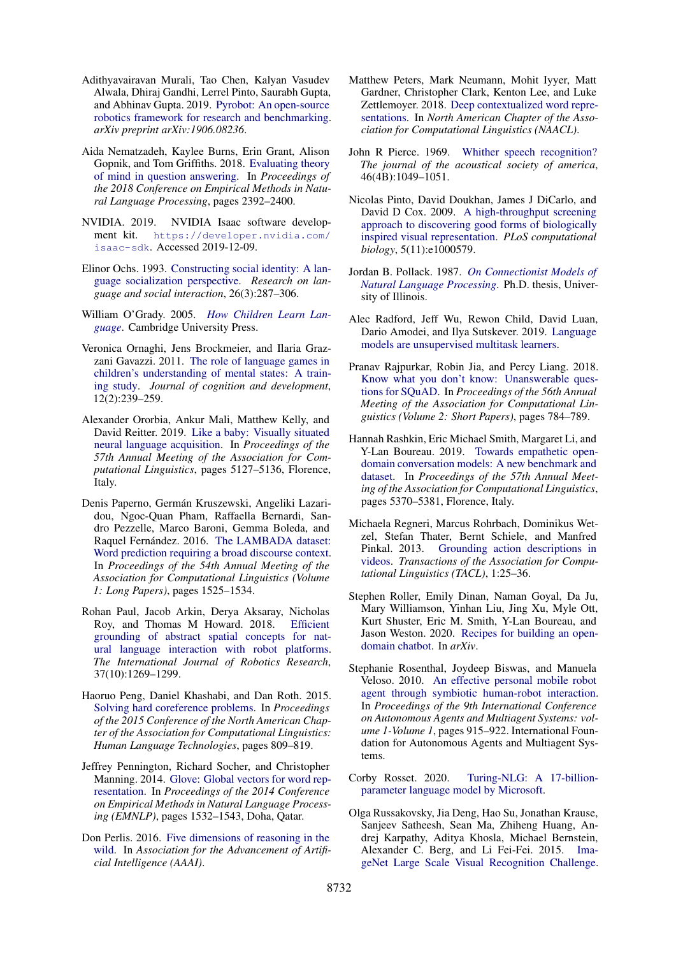- <span id="page-14-13"></span>Adithyavairavan Murali, Tao Chen, Kalyan Vasudev Alwala, Dhiraj Gandhi, Lerrel Pinto, Saurabh Gupta, and Abhinav Gupta. 2019. [Pyrobot: An open-source](https://arxiv.org/abs/1906.08236) [robotics framework for research and benchmarking.](https://arxiv.org/abs/1906.08236) *arXiv preprint arXiv:1906.08236*.
- <span id="page-14-19"></span>Aida Nematzadeh, Kaylee Burns, Erin Grant, Alison Gopnik, and Tom Griffiths. 2018. [Evaluating theory](https://arxiv.org/abs/1808.09352) [of mind in question answering.](https://arxiv.org/abs/1808.09352) In *Proceedings of the 2018 Conference on Empirical Methods in Natural Language Processing*, pages 2392–2400.
- <span id="page-14-12"></span>NVIDIA. 2019. NVIDIA Isaac software development kit. [https://developer.nvidia.com/](https://developer.nvidia.com/isaac-sdk) [isaac-sdk](https://developer.nvidia.com/isaac-sdk). Accessed 2019-12-09.
- <span id="page-14-20"></span>Elinor Ochs. 1993. [Constructing social identity: A lan](https://www.tandfonline.com/doi/abs/10.1207/s15327973rlsi2603_3)[guage socialization perspective.](https://www.tandfonline.com/doi/abs/10.1207/s15327973rlsi2603_3) *Research on language and social interaction*, 26(3):287–306.
- <span id="page-14-9"></span>William O'Grady. 2005. *[How Children Learn Lan](https://www.cambridge.org/core/books/how-children-learn-language/04C336554C93315A5F78F4E03777A4E6)[guage](https://www.cambridge.org/core/books/how-children-learn-language/04C336554C93315A5F78F4E03777A4E6)*. Cambridge University Press.
- <span id="page-14-17"></span>Veronica Ornaghi, Jens Brockmeier, and Ilaria Grazzani Gavazzi. 2011. [The role of language games in](https://www.tandfonline.com/doi/abs/10.1080/15248372.2011.563487) [children's understanding of mental states: A train](https://www.tandfonline.com/doi/abs/10.1080/15248372.2011.563487)[ing study.](https://www.tandfonline.com/doi/abs/10.1080/15248372.2011.563487) *Journal of cognition and development*, 12(2):239–259.
- <span id="page-14-22"></span>Alexander Ororbia, Ankur Mali, Matthew Kelly, and David Reitter. 2019. [Like a baby: Visually situated](https://doi.org/10.18653/v1/P19-1506) [neural language acquisition.](https://doi.org/10.18653/v1/P19-1506) In *Proceedings of the 57th Annual Meeting of the Association for Computational Linguistics*, pages 5127–5136, Florence, Italy.
- <span id="page-14-6"></span>Denis Paperno, Germán Kruszewski, Angeliki Lazaridou, Ngoc-Quan Pham, Raffaella Bernardi, Sandro Pezzelle, Marco Baroni, Gemma Boleda, and Raquel Fernández. 2016. [The LAMBADA dataset:](https://arxiv.org/abs/1606.06031) [Word prediction requiring a broad discourse context.](https://arxiv.org/abs/1606.06031) In *Proceedings of the 54th Annual Meeting of the Association for Computational Linguistics (Volume 1: Long Papers)*, pages 1525–1534.
- <span id="page-14-23"></span>Rohan Paul, Jacob Arkin, Derya Aksaray, Nicholas Roy, and Thomas M Howard. 2018. [Efficient](https://journals.sagepub.com/doi/abs/10.1177/0278364918777627) [grounding of abstract spatial concepts for nat](https://journals.sagepub.com/doi/abs/10.1177/0278364918777627)[ural language interaction with robot platforms.](https://journals.sagepub.com/doi/abs/10.1177/0278364918777627) *The International Journal of Robotics Research*, 37(10):1269–1299.
- <span id="page-14-8"></span>Haoruo Peng, Daniel Khashabi, and Dan Roth. 2015. [Solving hard coreference problems.](https://arxiv.org/abs/1907.05524) In *Proceedings of the 2015 Conference of the North American Chapter of the Association for Computational Linguistics: Human Language Technologies*, pages 809–819.
- <span id="page-14-3"></span>Jeffrey Pennington, Richard Socher, and Christopher Manning. 2014. [Glove: Global vectors for word rep](https://doi.org/10.3115/v1/D14-1162)[resentation.](https://doi.org/10.3115/v1/D14-1162) In *Proceedings of the 2014 Conference on Empirical Methods in Natural Language Processing (EMNLP)*, pages 1532–1543, Doha, Qatar.
- <span id="page-14-10"></span>Don Perlis. 2016. [Five dimensions of reasoning in the](https://www.semanticscholar.org/paper/Five-Dimensions-of-Reasoning-in-the-Wild-Perlis/743a9c60092241ecf366a2ffb564f03a05fc9a0e) [wild.](https://www.semanticscholar.org/paper/Five-Dimensions-of-Reasoning-in-the-Wild-Perlis/743a9c60092241ecf366a2ffb564f03a05fc9a0e) In *Association for the Advancement of Artificial Intelligence (AAAI)*.
- <span id="page-14-1"></span>Matthew Peters, Mark Neumann, Mohit Iyyer, Matt Gardner, Christopher Clark, Kenton Lee, and Luke Zettlemoyer. 2018. [Deep contextualized word repre](https://doi.org/10.18653/v1/N18-1202)[sentations.](https://doi.org/10.18653/v1/N18-1202) In *North American Chapter of the Association for Computational Linguistics (NAACL)*.
- <span id="page-14-15"></span>John R Pierce. 1969. [Whither speech recognition?](https://pdfs.semanticscholar.org/0155/01c4d26a92993332ada795e27b126ae3028a.pdf) *The journal of the acoustical society of america*, 46(4B):1049–1051.
- <span id="page-14-4"></span>Nicolas Pinto, David Doukhan, James J DiCarlo, and David D Cox. 2009. [A high-throughput screening](https://journals.plos.org/ploscompbiol/article?id=10.1371/journal.pcbi.1000579) [approach to discovering good forms of biologically](https://journals.plos.org/ploscompbiol/article?id=10.1371/journal.pcbi.1000579) [inspired visual representation.](https://journals.plos.org/ploscompbiol/article?id=10.1371/journal.pcbi.1000579) *PLoS computational biology*, 5(11):e1000579.
- <span id="page-14-2"></span>Jordan B. Pollack. 1987. *[On Connectionist Models of](https://www.semanticscholar.org/paper/On-connectionist-models-of-natural-language-Pollack/fb181069f453138c3b6aff9586c4c50dd0b39c79) [Natural Language Processing](https://www.semanticscholar.org/paper/On-connectionist-models-of-natural-language-Pollack/fb181069f453138c3b6aff9586c4c50dd0b39c79)*. Ph.D. thesis, University of Illinois.
- <span id="page-14-0"></span>Alec Radford, Jeff Wu, Rewon Child, David Luan, Dario Amodei, and Ilya Sutskever. 2019. [Language](https://github.com/openai/gpt-2) [models are unsupervised multitask learners.](https://github.com/openai/gpt-2)
- <span id="page-14-5"></span>Pranav Rajpurkar, Robin Jia, and Percy Liang. 2018. [Know what you don't know: Unanswerable ques](https://arxiv.org/abs/1806.03822)[tions for SQuAD.](https://arxiv.org/abs/1806.03822) In *Proceedings of the 56th Annual Meeting of the Association for Computational Linguistics (Volume 2: Short Papers)*, pages 784–789.
- <span id="page-14-16"></span>Hannah Rashkin, Eric Michael Smith, Margaret Li, and Y-Lan Boureau. 2019. [Towards empathetic open](https://doi.org/10.18653/v1/P19-1534)[domain conversation models: A new benchmark and](https://doi.org/10.18653/v1/P19-1534) [dataset.](https://doi.org/10.18653/v1/P19-1534) In *Proceedings of the 57th Annual Meeting of the Association for Computational Linguistics*, pages 5370–5381, Florence, Italy.
- <span id="page-14-21"></span>Michaela Regneri, Marcus Rohrbach, Dominikus Wetzel, Stefan Thater, Bernt Schiele, and Manfred Pinkal. 2013. [Grounding action descriptions in](https://www.aclweb.org/anthology/Q13-1003/) [videos.](https://www.aclweb.org/anthology/Q13-1003/) *Transactions of the Association for Computational Linguistics (TACL)*, 1:25–36.
- <span id="page-14-18"></span>Stephen Roller, Emily Dinan, Naman Goyal, Da Ju, Mary Williamson, Yinhan Liu, Jing Xu, Myle Ott, Kurt Shuster, Eric M. Smith, Y-Lan Boureau, and Jason Weston. 2020. [Recipes for building an open](https://arxiv.org/abs/2004.13637)[domain chatbot.](https://arxiv.org/abs/2004.13637) In *arXiv*.
- <span id="page-14-14"></span>Stephanie Rosenthal, Joydeep Biswas, and Manuela Veloso. 2010. [An effective personal mobile robot](https://dl.acm.org/doi/10.5555/1838206.1838329) [agent through symbiotic human-robot interaction.](https://dl.acm.org/doi/10.5555/1838206.1838329) In *Proceedings of the 9th International Conference on Autonomous Agents and Multiagent Systems: volume 1-Volume 1*, pages 915–922. International Foundation for Autonomous Agents and Multiagent Systems.
- <span id="page-14-7"></span>Corby Rosset. 2020. [Turing-NLG: A 17-billion](https://www.microsoft.com/en-us/research/blog/turing-nlg-a-17-billion-parameter-language-model-by-microsoft/)[parameter language model by Microsoft.](https://www.microsoft.com/en-us/research/blog/turing-nlg-a-17-billion-parameter-language-model-by-microsoft/)
- <span id="page-14-11"></span>Olga Russakovsky, Jia Deng, Hao Su, Jonathan Krause, Sanjeev Satheesh, Sean Ma, Zhiheng Huang, Andrej Karpathy, Aditya Khosla, Michael Bernstein, Alexander C. Berg, and Li Fei-Fei. 2015. [Ima](https://doi.org/10.1007/s11263-015-0816-y)[geNet Large Scale Visual Recognition Challenge.](https://doi.org/10.1007/s11263-015-0816-y)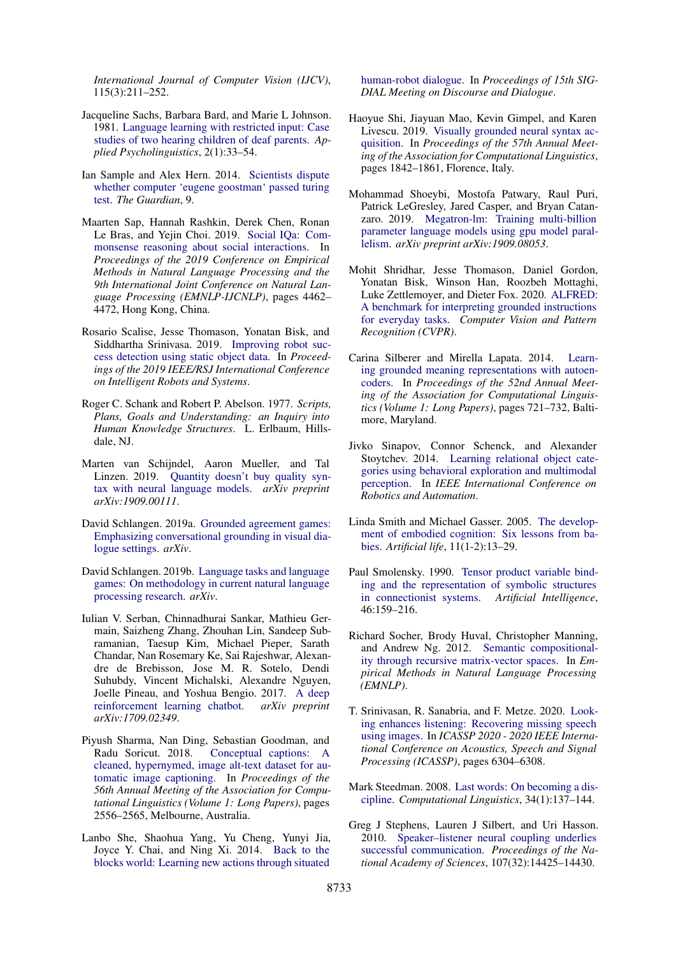*International Journal of Computer Vision (IJCV)*, 115(3):211–252.

- <span id="page-15-4"></span>Jacqueline Sachs, Barbara Bard, and Marie L Johnson. 1981. [Language learning with restricted input: Case](https://www.cambridge.org/core/journals/applied-psycholinguistics/article/language-learning-with-restricted-input-case-studies-of-two-hearing-children-of-deaf-parents/4F5BF799996DCD5977A94BC5F1233578) [studies of two hearing children of deaf parents.](https://www.cambridge.org/core/journals/applied-psycholinguistics/article/language-learning-with-restricted-input-case-studies-of-two-hearing-children-of-deaf-parents/4F5BF799996DCD5977A94BC5F1233578) *Applied Psycholinguistics*, 2(1):33–54.
- <span id="page-15-12"></span>Ian Sample and Alex Hern. 2014. [Scientists dispute](https://www.theguardian.com/technology/2014/jun/09/scientists-disagree-over-whether-turing-test-has-been-passed) [whether computer 'eugene goostman' passed turing](https://www.theguardian.com/technology/2014/jun/09/scientists-disagree-over-whether-turing-test-has-been-passed) [test.](https://www.theguardian.com/technology/2014/jun/09/scientists-disagree-over-whether-turing-test-has-been-passed) *The Guardian*, 9.
- <span id="page-15-15"></span>Maarten Sap, Hannah Rashkin, Derek Chen, Ronan Le Bras, and Yejin Choi. 2019. [Social IQa: Com](https://doi.org/10.18653/v1/D19-1454)[monsense reasoning about social interactions.](https://doi.org/10.18653/v1/D19-1454) In *Proceedings of the 2019 Conference on Empirical Methods in Natural Language Processing and the 9th International Joint Conference on Natural Language Processing (EMNLP-IJCNLP)*, pages 4462– 4472, Hong Kong, China.
- <span id="page-15-11"></span>Rosario Scalise, Jesse Thomason, Yonatan Bisk, and Siddhartha Srinivasa. 2019. [Improving robot suc]("https://arxiv.org/abs/1904.01650")[cess detection using static object data.]("https://arxiv.org/abs/1904.01650") In *Proceedings of the 2019 IEEE/RSJ International Conference on Intelligent Robots and Systems*.
- <span id="page-15-6"></span>Roger C. Schank and Robert P. Abelson. 1977. *Scripts, Plans, Goals and Understanding: an Inquiry into Human Knowledge Structures*. L. Erlbaum, Hillsdale, NJ.
- <span id="page-15-3"></span>Marten van Schijndel, Aaron Mueller, and Tal Linzen. 2019. [Quantity doesn't buy quality syn](https://arxiv.org/abs/1909.00111)[tax with neural language models.](https://arxiv.org/abs/1909.00111) *arXiv preprint arXiv:1909.00111*.
- <span id="page-15-18"></span>David Schlangen. 2019a. [Grounded agreement games:](https://arxiv.org/abs/1908.11279) [Emphasizing conversational grounding in visual dia](https://arxiv.org/abs/1908.11279)[logue settings.](https://arxiv.org/abs/1908.11279) *arXiv*.
- <span id="page-15-19"></span>David Schlangen. 2019b. [Language tasks and language](https://arxiv.org/abs/1908.10747) [games: On methodology in current natural language](https://arxiv.org/abs/1908.10747) [processing research.](https://arxiv.org/abs/1908.10747) *arXiv*.
- <span id="page-15-13"></span>Iulian V. Serban, Chinnadhurai Sankar, Mathieu Germain, Saizheng Zhang, Zhouhan Lin, Sandeep Subramanian, Taesup Kim, Michael Pieper, Sarath Chandar, Nan Rosemary Ke, Sai Rajeshwar, Alexandre de Brebisson, Jose M. R. Sotelo, Dendi Suhubdy, Vincent Michalski, Alexandre Nguyen, Joelle Pineau, and Yoshua Bengio. 2017. [A deep](https://arxiv.org/abs/1709.02349) [reinforcement learning chatbot.](https://arxiv.org/abs/1709.02349) *arXiv preprint arXiv:1709.02349*.
- <span id="page-15-7"></span>Piyush Sharma, Nan Ding, Sebastian Goodman, and Radu Soricut. 2018. [Conceptual captions: A](https://doi.org/10.18653/v1/P18-1238) [cleaned, hypernymed, image alt-text dataset for au](https://doi.org/10.18653/v1/P18-1238)[tomatic image captioning.](https://doi.org/10.18653/v1/P18-1238) In *Proceedings of the 56th Annual Meeting of the Association for Computational Linguistics (Volume 1: Long Papers)*, pages 2556–2565, Melbourne, Australia.
- <span id="page-15-17"></span>Lanbo She, Shaohua Yang, Yu Cheng, Yunyi Jia, Joyce Y. Chai, and Ning Xi. 2014. [Back to the](https://www.aclweb.org/anthology/W14-4313/) [blocks world: Learning new actions through situated](https://www.aclweb.org/anthology/W14-4313/)

[human-robot dialogue.](https://www.aclweb.org/anthology/W14-4313/) In *Proceedings of 15th SIG-DIAL Meeting on Discourse and Dialogue*.

- <span id="page-15-16"></span>Haoyue Shi, Jiayuan Mao, Kevin Gimpel, and Karen Livescu. 2019. [Visually grounded neural syntax ac](https://doi.org/10.18653/v1/P19-1180)[quisition.](https://doi.org/10.18653/v1/P19-1180) In *Proceedings of the 57th Annual Meeting of the Association for Computational Linguistics*, pages 1842–1861, Florence, Italy.
- <span id="page-15-2"></span>Mohammad Shoeybi, Mostofa Patwary, Raul Puri, Patrick LeGresley, Jared Casper, and Bryan Catanzaro. 2019. [Megatron-lm: Training multi-billion](https://arxiv.org/abs/1909.08053) [parameter language models using gpu model paral](https://arxiv.org/abs/1909.08053)[lelism.](https://arxiv.org/abs/1909.08053) *arXiv preprint arXiv:1909.08053*.
- <span id="page-15-10"></span>Mohit Shridhar, Jesse Thomason, Daniel Gordon, Yonatan Bisk, Winson Han, Roozbeh Mottaghi, Luke Zettlemoyer, and Dieter Fox. 2020. [ALFRED:](https://arxiv.org/abs/1912.01734) [A benchmark for interpreting grounded instructions](https://arxiv.org/abs/1912.01734) [for everyday tasks.](https://arxiv.org/abs/1912.01734) *Computer Vision and Pattern Recognition (CVPR)*.
- <span id="page-15-20"></span>Carina Silberer and Mirella Lapata. 2014. [Learn](https://doi.org/10.3115/v1/P14-1068)[ing grounded meaning representations with autoen](https://doi.org/10.3115/v1/P14-1068)[coders.](https://doi.org/10.3115/v1/P14-1068) In *Proceedings of the 52nd Annual Meeting of the Association for Computational Linguistics (Volume 1: Long Papers)*, pages 721–732, Baltimore, Maryland.
- <span id="page-15-5"></span>Jivko Sinapov, Connor Schenck, and Alexander Stoytchev. 2014. [Learning relational object cate](https://ieeexplore.ieee.org/document/6907696)[gories using behavioral exploration and multimodal](https://ieeexplore.ieee.org/document/6907696) [perception.](https://ieeexplore.ieee.org/document/6907696) In *IEEE International Conference on Robotics and Automation*.
- <span id="page-15-9"></span>Linda Smith and Michael Gasser. 2005. [The develop](https://ieeexplore.ieee.org/document/6788810)[ment of embodied cognition: Six lessons from ba](https://ieeexplore.ieee.org/document/6788810)[bies.](https://ieeexplore.ieee.org/document/6788810) *Artificial life*, 11(1-2):13–29.
- <span id="page-15-0"></span>Paul Smolensky. 1990. [Tensor product variable bind](http://www.lscp.net/persons/dupoux/teaching/AT1_2014/papers/Smolensky_1990_TensorProductVariableBinding.AI.pdf)[ing and the representation of symbolic structures](http://www.lscp.net/persons/dupoux/teaching/AT1_2014/papers/Smolensky_1990_TensorProductVariableBinding.AI.pdf) [in connectionist systems.](http://www.lscp.net/persons/dupoux/teaching/AT1_2014/papers/Smolensky_1990_TensorProductVariableBinding.AI.pdf) *Artificial Intelligence*, 46:159–216.
- <span id="page-15-1"></span>Richard Socher, Brody Huval, Christopher Manning, and Andrew Ng. 2012. [Semantic compositional](https://www.aclweb.org/anthology/D12-1110/)[ity through recursive matrix-vector spaces.](https://www.aclweb.org/anthology/D12-1110/) In *Empirical Methods in Natural Language Processing (EMNLP)*.
- <span id="page-15-8"></span>T. Srinivasan, R. Sanabria, and F. Metze. 2020. [Look](https://arxiv.org/abs/2002.05639)[ing enhances listening: Recovering missing speech](https://arxiv.org/abs/2002.05639) [using images.](https://arxiv.org/abs/2002.05639) In *ICASSP 2020 - 2020 IEEE International Conference on Acoustics, Speech and Signal Processing (ICASSP)*, pages 6304–6308.
- <span id="page-15-21"></span>Mark Steedman. 2008. [Last words: On becoming a dis](https://doi.org/10.1162/coli.2008.34.1.137)[cipline.](https://doi.org/10.1162/coli.2008.34.1.137) *Computational Linguistics*, 34(1):137–144.
- <span id="page-15-14"></span>Greg J Stephens, Lauren J Silbert, and Uri Hasson. 2010. [Speaker–listener neural coupling underlies](https://www.pnas.org/content/107/32/14425) [successful communication.](https://www.pnas.org/content/107/32/14425) *Proceedings of the National Academy of Sciences*, 107(32):14425–14430.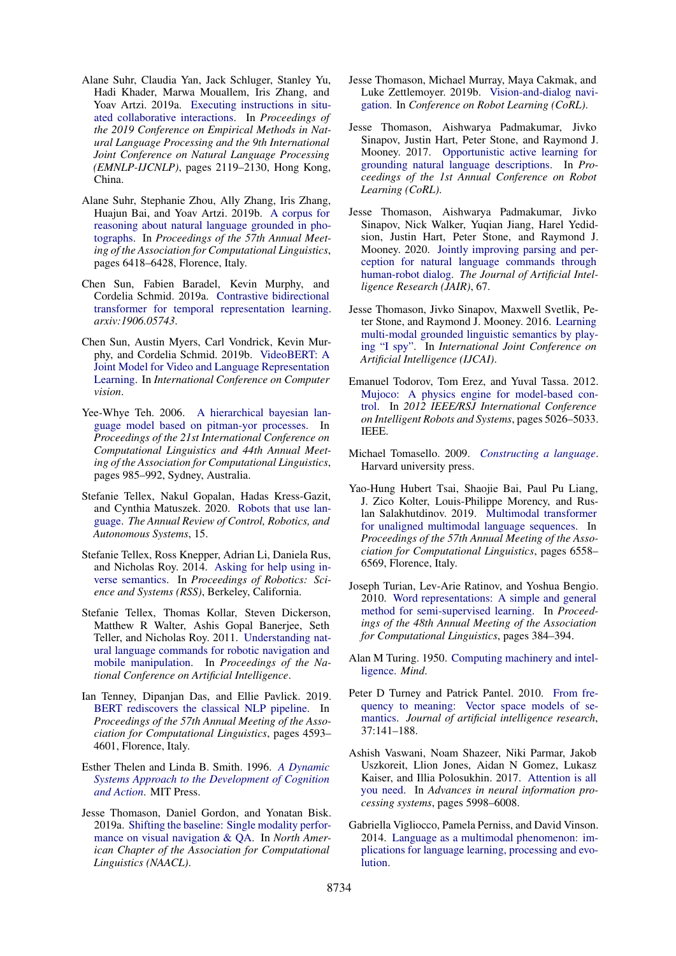- <span id="page-16-22"></span>Alane Suhr, Claudia Yan, Jack Schluger, Stanley Yu, Hadi Khader, Marwa Mouallem, Iris Zhang, and Yoav Artzi. 2019a. [Executing instructions in situ](https://doi.org/10.18653/v1/D19-1218)[ated collaborative interactions.](https://doi.org/10.18653/v1/D19-1218) In *Proceedings of the 2019 Conference on Empirical Methods in Natural Language Processing and the 9th International Joint Conference on Natural Language Processing (EMNLP-IJCNLP)*, pages 2119–2130, Hong Kong, China.
- <span id="page-16-9"></span>Alane Suhr, Stephanie Zhou, Ally Zhang, Iris Zhang, Huajun Bai, and Yoav Artzi. 2019b. [A corpus for](https://doi.org/10.18653/v1/P19-1644) [reasoning about natural language grounded in pho](https://doi.org/10.18653/v1/P19-1644)[tographs.](https://doi.org/10.18653/v1/P19-1644) In *Proceedings of the 57th Annual Meeting of the Association for Computational Linguistics*, pages 6418–6428, Florence, Italy.
- <span id="page-16-8"></span>Chen Sun, Fabien Baradel, Kevin Murphy, and Cordelia Schmid. 2019a. [Contrastive bidirectional](https://arxiv.org/abs/1906.05743) [transformer for temporal representation learning.](https://arxiv.org/abs/1906.05743) *arxiv:1906.05743*.
- <span id="page-16-7"></span>Chen Sun, Austin Myers, Carl Vondrick, Kevin Murphy, and Cordelia Schmid. 2019b. [VideoBERT: A](https://arxiv.org/abs/1904.01766) [Joint Model for Video and Language Representation](https://arxiv.org/abs/1904.01766) [Learning.](https://arxiv.org/abs/1904.01766) In *International Conference on Computer vision*.
- <span id="page-16-4"></span>Yee-Whye Teh. 2006. [A hierarchical bayesian lan](http://portal.acm.org/citation.cfm?id=1220299)[guage model based on pitman-yor processes.](http://portal.acm.org/citation.cfm?id=1220299) In *Proceedings of the 21st International Conference on Computational Linguistics and 44th Annual Meeting of the Association for Computational Linguistics*, pages 985–992, Sydney, Australia.
- <span id="page-16-15"></span>Stefanie Tellex, Nakul Gopalan, Hadas Kress-Gazit, and Cynthia Matuszek. 2020. [Robots that use lan](https://www.annualreviews.org/doi/abs/10.1146/annurev-control-101119-071628)[guage.](https://www.annualreviews.org/doi/abs/10.1146/annurev-control-101119-071628) *The Annual Review of Control, Robotics, and Autonomous Systems*, 15.
- <span id="page-16-21"></span>Stefanie Tellex, Ross Knepper, Adrian Li, Daniela Rus, and Nicholas Roy. 2014. [Asking for help using in](http://www.roboticsproceedings.org/rss10/p24.html)[verse semantics.](http://www.roboticsproceedings.org/rss10/p24.html) In *Proceedings of Robotics: Science and Systems (RSS)*, Berkeley, California.
- <span id="page-16-13"></span>Stefanie Tellex, Thomas Kollar, Steven Dickerson, Matthew R Walter, Ashis Gopal Banerjee, Seth Teller, and Nicholas Roy. 2011. [Understanding nat](https://dl.acm.org/doi/10.5555/2900423.2900661)[ural language commands for robotic navigation and](https://dl.acm.org/doi/10.5555/2900423.2900661) [mobile manipulation.](https://dl.acm.org/doi/10.5555/2900423.2900661) In *Proceedings of the National Conference on Artificial Intelligence*.
- <span id="page-16-2"></span>Ian Tenney, Dipanjan Das, and Ellie Pavlick. 2019. [BERT rediscovers the classical NLP pipeline.](https://doi.org/10.18653/v1/P19-1452) In *Proceedings of the 57th Annual Meeting of the Association for Computational Linguistics*, pages 4593– 4601, Florence, Italy.
- <span id="page-16-11"></span>Esther Thelen and Linda B. Smith. 1996. *[A Dynamic](http://cognet.mit.edu/book/dynamic-systems-approach-to-development-of-cognition-and-action) [Systems Approach to the Development of Cognition](http://cognet.mit.edu/book/dynamic-systems-approach-to-development-of-cognition-and-action) [and Action](http://cognet.mit.edu/book/dynamic-systems-approach-to-development-of-cognition-and-action)*. MIT Press.
- <span id="page-16-20"></span>Jesse Thomason, Daniel Gordon, and Yonatan Bisk. 2019a. [Shifting the baseline: Single modality perfor](https://arxiv.org/abs/1811.00613)[mance on visual navigation & QA.](https://arxiv.org/abs/1811.00613) In *North American Chapter of the Association for Computational Linguistics (NAACL)*.
- <span id="page-16-12"></span>Jesse Thomason, Michael Murray, Maya Cakmak, and Luke Zettlemoyer. 2019b. [Vision-and-dialog navi](https://arxiv.org/abs/1907.04957)[gation.](https://arxiv.org/abs/1907.04957) In *Conference on Robot Learning (CoRL)*.
- <span id="page-16-16"></span>Jesse Thomason, Aishwarya Padmakumar, Jivko Sinapov, Justin Hart, Peter Stone, and Raymond J. Mooney. 2017. [Opportunistic active learning for](http://proceedings.mlr.press/v78/thomason17a/thomason17a.pdf) [grounding natural language descriptions.](http://proceedings.mlr.press/v78/thomason17a/thomason17a.pdf) In *Proceedings of the 1st Annual Conference on Robot Learning (CoRL)*.
- <span id="page-16-14"></span>Jesse Thomason, Aishwarya Padmakumar, Jivko Sinapov, Nick Walker, Yuqian Jiang, Harel Yedidsion, Justin Hart, Peter Stone, and Raymond J. Mooney. 2020. [Jointly improving parsing and per](https://jair.org/index.php/jair/article/view/11485)[ception for natural language commands through](https://jair.org/index.php/jair/article/view/11485) [human-robot dialog.](https://jair.org/index.php/jair/article/view/11485) *The Journal of Artificial Intelligence Research (JAIR)*, 67.
- <span id="page-16-6"></span>Jesse Thomason, Jivko Sinapov, Maxwell Svetlik, Peter Stone, and Raymond J. Mooney. 2016. [Learning](http://www.ijcai.org/Proceedings/16/Papers/491.pdf) [multi-modal grounded linguistic semantics by play](http://www.ijcai.org/Proceedings/16/Papers/491.pdf)[ing "I spy".](http://www.ijcai.org/Proceedings/16/Papers/491.pdf) In *International Joint Conference on Artificial Intelligence (IJCAI)*.
- <span id="page-16-17"></span>Emanuel Todorov, Tom Erez, and Yuval Tassa. 2012. [Mujoco: A physics engine for model-based con](https://ieeexplore.ieee.org/document/6386109)[trol.](https://ieeexplore.ieee.org/document/6386109) In *2012 IEEE/RSJ International Conference on Intelligent Robots and Systems*, pages 5026–5033. IEEE.
- <span id="page-16-19"></span>Michael Tomasello. 2009. *[Constructing a language](https://www.hup.harvard.edu/catalog.php?isbn=9780674017641)*. Harvard university press.
- <span id="page-16-10"></span>Yao-Hung Hubert Tsai, Shaojie Bai, Paul Pu Liang, J. Zico Kolter, Louis-Philippe Morency, and Ruslan Salakhutdinov. 2019. [Multimodal transformer](https://doi.org/10.18653/v1/P19-1656) [for unaligned multimodal language sequences.](https://doi.org/10.18653/v1/P19-1656) In *Proceedings of the 57th Annual Meeting of the Association for Computational Linguistics*, pages 6558– 6569, Florence, Italy.
- <span id="page-16-0"></span>Joseph Turian, Lev-Arie Ratinov, and Yoshua Bengio. 2010. [Word representations: A simple and general](https://www.aclweb.org/anthology/P10-1040) [method for semi-supervised learning.](https://www.aclweb.org/anthology/P10-1040) In *Proceedings of the 48th Annual Meeting of the Association for Computational Linguistics*, pages 384–394.
- <span id="page-16-18"></span>Alan M Turing. 1950. [Computing machinery and intel](https://academic.oup.com/mind/article/LIX/236/433/986238)[ligence.](https://academic.oup.com/mind/article/LIX/236/433/986238) *Mind*.
- <span id="page-16-1"></span>Peter D Turney and Patrick Pantel. 2010. [From fre](https://arxiv.org/abs/1003.1141)[quency to meaning: Vector space models of se](https://arxiv.org/abs/1003.1141)[mantics.](https://arxiv.org/abs/1003.1141) *Journal of artificial intelligence research*, 37:141–188.
- <span id="page-16-3"></span>Ashish Vaswani, Noam Shazeer, Niki Parmar, Jakob Uszkoreit, Llion Jones, Aidan N Gomez, Lukasz Kaiser, and Illia Polosukhin. 2017. [Attention is all](https://arxiv.org/abs/1706.03762) [you need.](https://arxiv.org/abs/1706.03762) In *Advances in neural information processing systems*, pages 5998–6008.
- <span id="page-16-5"></span>Gabriella Vigliocco, Pamela Perniss, and David Vinson. 2014. [Language as a multimodal phenomenon: im](https://www.ncbi.nlm.nih.gov/pmc/articles/PMC4123671/)[plications for language learning, processing and evo](https://www.ncbi.nlm.nih.gov/pmc/articles/PMC4123671/)[lution.](https://www.ncbi.nlm.nih.gov/pmc/articles/PMC4123671/)